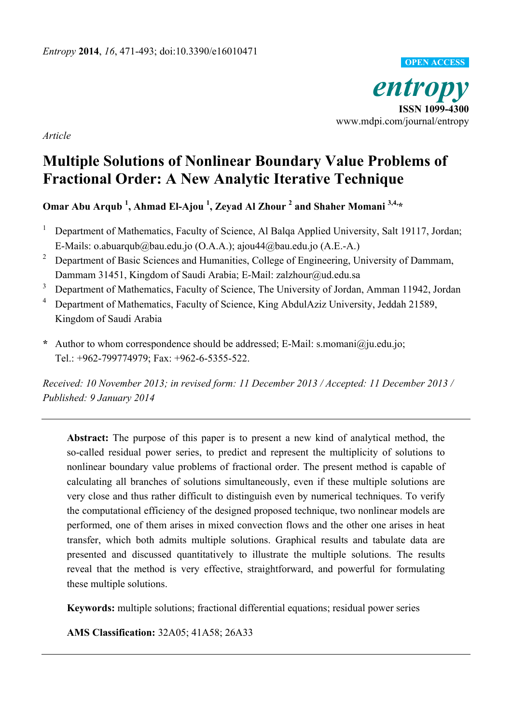

*Article* 

# **Multiple Solutions of Nonlinear Boundary Value Problems of Fractional Order: A New Analytic Iterative Technique**

**Omar Abu Arqub <sup>1</sup> , Ahmad El-Ajou <sup>1</sup> , Zeyad Al Zhour <sup>2</sup> and Shaher Momani 3,4,\***

- 1 Department of Mathematics, Faculty of Science, Al Balqa Applied University, Salt 19117, Jordan; E-Mails: o.abuarqub@bau.edu.jo (O.A.A.); ajou44@bau.edu.jo (A.E.-A.)
- 2 Department of Basic Sciences and Humanities, College of Engineering, University of Dammam, Dammam 31451, Kingdom of Saudi Arabia; E-Mail: zalzhour@ud.edu.sa
- <sup>3</sup> Department of Mathematics, Faculty of Science, The University of Jordan, Amman 11942, Jordan
- <sup>4</sup> Department of Mathematics, Faculty of Science, King AbdulAziz University, Jeddah 21589, Kingdom of Saudi Arabia
- **\*** Author to whom correspondence should be addressed; E-Mail: s.momani@ju.edu.jo; Tel.: +962-799774979; Fax: +962-6-5355-522.

*Received: 10 November 2013; in revised form: 11 December 2013 / Accepted: 11 December 2013 / Published: 9 January 2014* 

**Abstract:** The purpose of this paper is to present a new kind of analytical method, the so-called residual power series, to predict and represent the multiplicity of solutions to nonlinear boundary value problems of fractional order. The present method is capable of calculating all branches of solutions simultaneously, even if these multiple solutions are very close and thus rather difficult to distinguish even by numerical techniques. To verify the computational efficiency of the designed proposed technique, two nonlinear models are performed, one of them arises in mixed convection flows and the other one arises in heat transfer, which both admits multiple solutions. Graphical results and tabulate data are presented and discussed quantitatively to illustrate the multiple solutions. The results reveal that the method is very effective, straightforward, and powerful for formulating these multiple solutions.

**Keywords:** multiple solutions; fractional differential equations; residual power series

**AMS Classification:** 32A05; 41A58; 26A33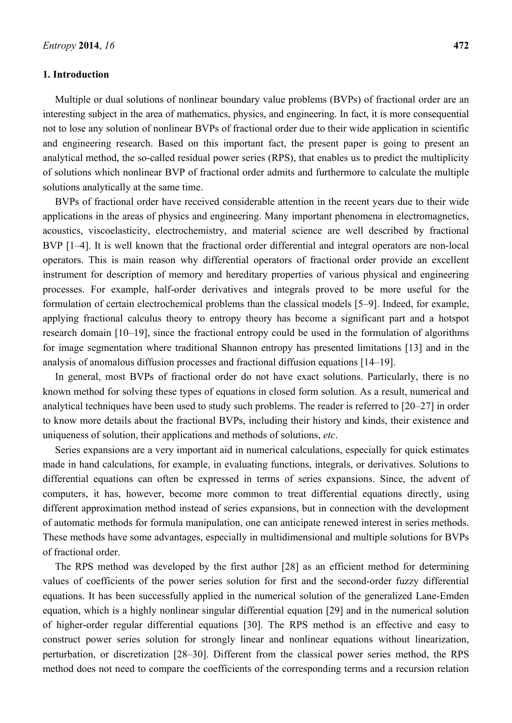# **1. Introduction**

Multiple or dual solutions of nonlinear boundary value problems (BVPs) of fractional order are an interesting subject in the area of mathematics, physics, and engineering. In fact, it is more consequential not to lose any solution of nonlinear BVPs of fractional order due to their wide application in scientific and engineering research. Based on this important fact, the present paper is going to present an analytical method, the so-called residual power series (RPS), that enables us to predict the multiplicity of solutions which nonlinear BVP of fractional order admits and furthermore to calculate the multiple solutions analytically at the same time.

BVPs of fractional order have received considerable attention in the recent years due to their wide applications in the areas of physics and engineering. Many important phenomena in electromagnetics, acoustics, viscoelasticity, electrochemistry, and material science are well described by fractional BVP [1–4]. It is well known that the fractional order differential and integral operators are non-local operators. This is main reason why differential operators of fractional order provide an excellent instrument for description of memory and hereditary properties of various physical and engineering processes. For example, half-order derivatives and integrals proved to be more useful for the formulation of certain electrochemical problems than the classical models [5–9]. Indeed, for example, applying fractional calculus theory to entropy theory has become a significant part and a hotspot research domain [10–19], since the fractional entropy could be used in the formulation of algorithms for image segmentation where traditional Shannon entropy has presented limitations [13] and in the analysis of anomalous diffusion processes and fractional diffusion equations [14–19].

In general, most BVPs of fractional order do not have exact solutions. Particularly, there is no known method for solving these types of equations in closed form solution. As a result, numerical and analytical techniques have been used to study such problems. The reader is referred to [20–27] in order to know more details about the fractional BVPs, including their history and kinds, their existence and uniqueness of solution, their applications and methods of solutions, *etc*.

Series expansions are a very important aid in numerical calculations, especially for quick estimates made in hand calculations, for example, in evaluating functions, integrals, or derivatives. Solutions to differential equations can often be expressed in terms of series expansions. Since, the advent of computers, it has, however, become more common to treat differential equations directly, using different approximation method instead of series expansions, but in connection with the development of automatic methods for formula manipulation, one can anticipate renewed interest in series methods. These methods have some advantages, especially in multidimensional and multiple solutions for BVPs of fractional order.

The RPS method was developed by the first author [28] as an efficient method for determining values of coefficients of the power series solution for first and the second-order fuzzy differential equations. It has been successfully applied in the numerical solution of the generalized Lane-Emden equation, which is a highly nonlinear singular differential equation [29] and in the numerical solution of higher-order regular differential equations [30]. The RPS method is an effective and easy to construct power series solution for strongly linear and nonlinear equations without linearization, perturbation, or discretization [28–30]. Different from the classical power series method, the RPS method does not need to compare the coefficients of the corresponding terms and a recursion relation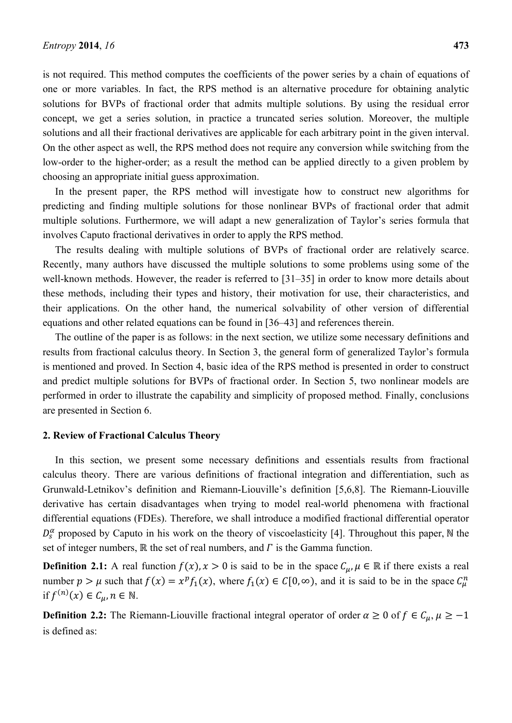is not required. This method computes the coefficients of the power series by a chain of equations of one or more variables. In fact, the RPS method is an alternative procedure for obtaining analytic solutions for BVPs of fractional order that admits multiple solutions. By using the residual error concept, we get a series solution, in practice a truncated series solution. Moreover, the multiple solutions and all their fractional derivatives are applicable for each arbitrary point in the given interval. On the other aspect as well, the RPS method does not require any conversion while switching from the low-order to the higher-order; as a result the method can be applied directly to a given problem by choosing an appropriate initial guess approximation.

In the present paper, the RPS method will investigate how to construct new algorithms for predicting and finding multiple solutions for those nonlinear BVPs of fractional order that admit multiple solutions. Furthermore, we will adapt a new generalization of Taylor's series formula that involves Caputo fractional derivatives in order to apply the RPS method.

The results dealing with multiple solutions of BVPs of fractional order are relatively scarce. Recently, many authors have discussed the multiple solutions to some problems using some of the well-known methods. However, the reader is referred to [31–35] in order to know more details about these methods, including their types and history, their motivation for use, their characteristics, and their applications. On the other hand, the numerical solvability of other version of differential equations and other related equations can be found in [36–43] and references therein.

The outline of the paper is as follows: in the next section, we utilize some necessary definitions and results from fractional calculus theory. In Section 3, the general form of generalized Taylor's formula is mentioned and proved. In Section 4, basic idea of the RPS method is presented in order to construct and predict multiple solutions for BVPs of fractional order. In Section 5, two nonlinear models are performed in order to illustrate the capability and simplicity of proposed method. Finally, conclusions are presented in Section 6.

## **2. Review of Fractional Calculus Theory**

In this section, we present some necessary definitions and essentials results from fractional calculus theory. There are various definitions of fractional integration and differentiation, such as Grunwald-Letnikov's definition and Riemann-Liouville's definition [5,6,8]. The Riemann-Liouville derivative has certain disadvantages when trying to model real-world phenomena with fractional differential equations (FDEs). Therefore, we shall introduce a modified fractional differential operator  $D_s^{\alpha}$  proposed by Caputo in his work on the theory of viscoelasticity [4]. Throughout this paper, N the set of integer numbers,  $\mathbb R$  the set of real numbers, and  $\Gamma$  is the Gamma function.

**Definition 2.1:** A real function  $f(x)$ ,  $x > 0$  is said to be in the space  $C_{\mu}$ ,  $\mu \in \mathbb{R}$  if there exists a real number  $p > \mu$  such that  $f(x) = x^p f_1(x)$ , where  $f_1(x) \in C[0, \infty)$ , and it is said to be in the space  $C_{\mu}^n$ if  $f^{(n)}(x) \in C_\mu$ ,  $n \in \mathbb{N}$ .

**Definition 2.2:** The Riemann-Liouville fractional integral operator of order  $\alpha \ge 0$  of  $f \in C_u$ ,  $\mu \ge -1$ is defined as: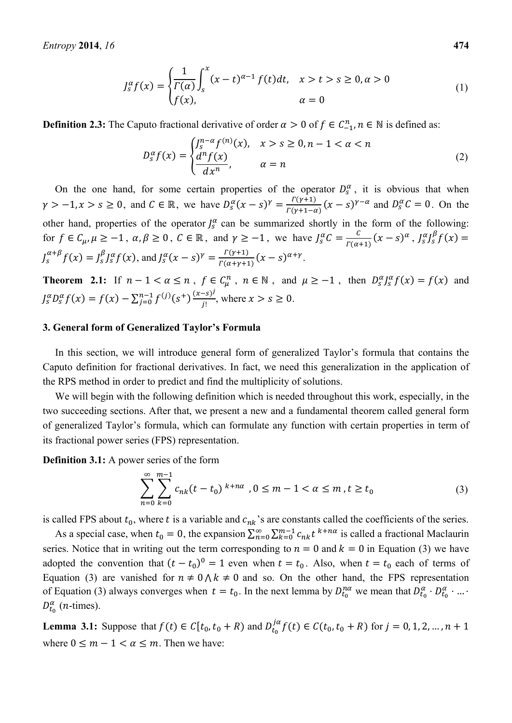*Entropy* **2014**, *16* **474**

$$
J_{s}^{\alpha} f(x) = \begin{cases} \frac{1}{\Gamma(\alpha)} \int_{s}^{x} (x - t)^{\alpha - 1} f(t) dt, & x > t > s \ge 0, \alpha > 0\\ f(x), & \alpha = 0 \end{cases}
$$
(1)

**Definition 2.3:** The Caputo fractional derivative of order  $\alpha > 0$  of  $f \in C_{-1}^n$ ,  $n \in \mathbb{N}$  is defined as:

$$
D_s^{\alpha} f(x) = \begin{cases} J_s^{n-\alpha} f^{(n)}(x), & x > s \ge 0, n-1 < \alpha < n \\ \frac{d^n f(x)}{dx^n}, & \alpha = n \end{cases} \tag{2}
$$

On the one hand, for some certain properties of the operator  $D_s^{\alpha}$ , it is obvious that when  $\gamma > -1, x > s \ge 0$ , and  $C \in \mathbb{R}$ , we have  $D_s^{\alpha}(x-s)^{\gamma} = \frac{\Gamma(\gamma+1)}{\Gamma(\gamma+1-s)}$  $\frac{T(y+1)}{T(y+1-\alpha)}(x-s)^{\gamma-\alpha}$  and  $D_s^{\alpha}C=0$ . On the other hand, properties of the operator  $J_s^{\alpha}$  can be summarized shortly in the form of the following: for  $f \in C_{\mu}$ ,  $\mu \ge -1$ ,  $\alpha, \beta \ge 0$ ,  $C \in \mathbb{R}$ , and  $\gamma \ge -1$ , we have  $J_s^{\alpha}C = \frac{C}{\Gamma(\alpha+1)}(x-s)^{\alpha}$ ,  $J_s^{\alpha}J_s^{\beta}f(x) =$  $J_{s}^{\alpha+\beta}f(x) = J_{s}^{\beta}J_{s}^{\alpha}f(x)$ , and  $J_{s}^{\alpha}(x-s)^{\gamma} = \frac{\Gamma(\gamma+1)}{\Gamma(\alpha+\gamma+1)}$  $\frac{T(r+1)}{T(\alpha+\gamma+1)}(x-s)^{\alpha+\gamma}$ .

**Theorem 2.1:** If  $n-1 < \alpha \le n$ ,  $f \in C_{\mu}^{n}$ ,  $n \in \mathbb{N}$ , and  $\mu \ge -1$ , then  $D_{S}^{\alpha}J_{S}^{\alpha}f(x) = f(x)$  and  $J_S^{\alpha} D_S^{\alpha} f(x) = f(x) - \sum_{j=0}^{n-1} f^{(j)}(s^+) \frac{(x-s)^j}{j!}$ J!  $\sum_{j=0}^{n-1} f^{(j)}(s^+) \frac{(x- s_j)^2}{j!}$ , where  $x > s \ge 0$ .

## **3. General form of Generalized Taylor's Formula**

In this section, we will introduce general form of generalized Taylor's formula that contains the Caputo definition for fractional derivatives. In fact, we need this generalization in the application of the RPS method in order to predict and find the multiplicity of solutions.

We will begin with the following definition which is needed throughout this work, especially, in the two succeeding sections. After that, we present a new and a fundamental theorem called general form of generalized Taylor's formula, which can formulate any function with certain properties in term of its fractional power series (FPS) representation.

**Definition 3.1:** A power series of the form

$$
\sum_{n=0}^{\infty} \sum_{k=0}^{m-1} c_{nk} (t - t_0)^{k+n\alpha}, 0 \le m - 1 < \alpha \le m, t \ge t_0
$$
 (3)

is called FPS about  $t_0$ , where t is a variable and  $c_{nk}$ 's are constants called the coefficients of the series.

As a special case, when  $t_0 = 0$ , the expansion  $\sum_{n=0}^{\infty} \sum_{k=0}^{m-1} c_{nk} t^{k+n\alpha}$  is called a fractional Maclaurin series. Notice that in writing out the term corresponding to  $n = 0$  and  $k = 0$  in Equation (3) we have adopted the convention that  $(t - t_0)^0 = 1$  even when  $t = t_0$ . Also, when  $t = t_0$  each of terms of Equation (3) are vanished for  $n \neq 0 \land k \neq 0$  and so. On the other hand, the FPS representation of Equation (3) always converges when  $t = t_0$ . In the next lemma by  $D_{t_0}^{n\alpha}$  we mean that  $D_{t_0}^{\alpha} \cdot D_{t_0}^{\alpha} \cdot ...$  $D_{t_0}^{\alpha}$  (*n*-times).

**Lemma 3.1:** Suppose that  $f(t) \in C[t_0, t_0 + R)$  and  $D_{t_0}^{j\alpha} f(t) \in C(t_0, t_0 + R)$  for  $j = 0, 1, 2, ..., n + 1$ where  $0 \le m - 1 < \alpha \le m$ . Then we have: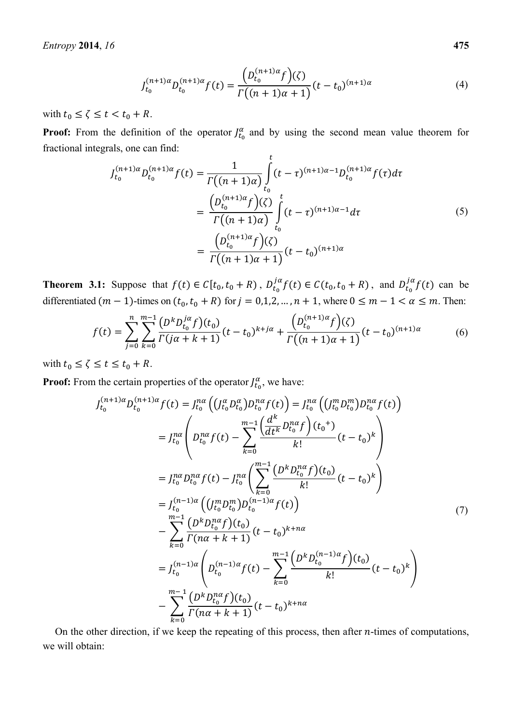$$
J_{t_0}^{(n+1)\alpha} D_{t_0}^{(n+1)\alpha} f(t) = \frac{\left(D_{t_0}^{(n+1)\alpha} f\right)(\zeta)}{\Gamma((n+1)\alpha+1)} (t-t_0)^{(n+1)\alpha} \tag{4}
$$

with  $t_0 \leq \zeta \leq t < t_0 + R$ .

**Proof:** From the definition of the operator  $J_{t_0}^{\alpha}$  and by using the second mean value theorem for fractional integrals, one can find:

$$
J_{t_0}^{(n+1)\alpha} D_{t_0}^{(n+1)\alpha} f(t) = \frac{1}{\Gamma((n+1)\alpha)} \int_{t_0}^t (t-\tau)^{(n+1)\alpha-1} D_{t_0}^{(n+1)\alpha} f(\tau) d\tau
$$
  

$$
= \frac{D_{t_0}^{(n+1)\alpha} f(\zeta)}{\Gamma((n+1)\alpha)} \int_{t_0}^t (t-\tau)^{(n+1)\alpha-1} d\tau
$$
  

$$
= \frac{D_{t_0}^{(n+1)\alpha} f(\zeta)}{\Gamma((n+1)\alpha+1)} (t-t_0)^{(n+1)\alpha}
$$
 (5)

**Theorem 3.1:** Suppose that  $f(t) \in C[t_0, t_0 + R)$ ,  $D_{t_0}^{T\alpha} f(t) \in C(t_0, t_0 + R)$ , and  $D_{t_0}^{T\alpha} f(t)$  can be differentiated  $(m-1)$ -times on  $(t_0, t_0 + R)$  for  $j = 0,1,2,...,n + 1$ , where  $0 \le m - 1 < \alpha \le m$ . Then:

$$
f(t) = \sum_{j=0}^{n} \sum_{k=0}^{m-1} \frac{(D^k D_{t_0}^{j\alpha} f)(t_0)}{\Gamma(j\alpha + k + 1)} (t - t_0)^{k+j\alpha} + \frac{(D_{t_0}^{(n+1)\alpha} f)(\zeta)}{\Gamma((n+1)\alpha + 1)} (t - t_0)^{(n+1)\alpha}
$$
(6)

with  $t_0 \leq \zeta \leq t \leq t_0 + R$ .

**Proof:** From the certain properties of the operator  $J_{t_0}^{\alpha}$ , we have:

$$
J_{t_0}^{(n+1)\alpha} D_{t_0}^{(n+1)\alpha} f(t) = J_{t_0}^{n\alpha} \left( (J_{t_0}^{\alpha} D_{t_0}^{\alpha}) D_{t_0}^{n\alpha} f(t) \right) = J_{t_0}^{n\alpha} \left( (J_{t_0}^m D_{t_0}^m) D_{t_0}^{n\alpha} f(t) \right)
$$
  
\n
$$
= J_{t_0}^{n\alpha} \left( D_{t_0}^{n\alpha} f(t) - \sum_{k=0}^{m-1} \frac{\left( \frac{d^k}{dt^k} D_{t_0}^{n\alpha} f \right) (t_0^+)}{k!} (t - t_0)^k \right)
$$
  
\n
$$
= J_{t_0}^{n\alpha} D_{t_0}^{n\alpha} f(t) - J_{t_0}^{n\alpha} \left( \sum_{k=0}^{m-1} \frac{\left( D^k D_{t_0}^{n\alpha} f \right) (t_0)}{k!} (t - t_0)^k \right)
$$
  
\n
$$
= J_{t_0}^{(n-1)\alpha} \left( (J_{t_0}^m D_{t_0}^m) D_{t_0}^{(n-1)\alpha} f(t) \right)
$$
  
\n
$$
- \sum_{k=0}^{m-1} \frac{\left( D^k D_{t_0}^{n\alpha} f \right) (t_0)}{\Gamma(n\alpha + k + 1)} (t - t_0)^{k + n\alpha}
$$
  
\n
$$
= J_{t_0}^{(n-1)\alpha} \left( D_{t_0}^{(n-1)\alpha} f(t) - \sum_{k=0}^{m-1} \frac{\left( D^k D_{t_0}^{(n-1)\alpha} f \right) (t_0)}{k!} (t - t_0)^k \right)
$$
  
\n
$$
- \sum_{k=0}^{m-1} \frac{\left( D^k D_{t_0}^{n\alpha} f \right) (t_0)}{\Gamma(n\alpha + k + 1)} (t - t_0)^{k + n\alpha}
$$
 (11)

On the other direction, if we keep the repeating of this process, then after  $n$ -times of computations, we will obtain: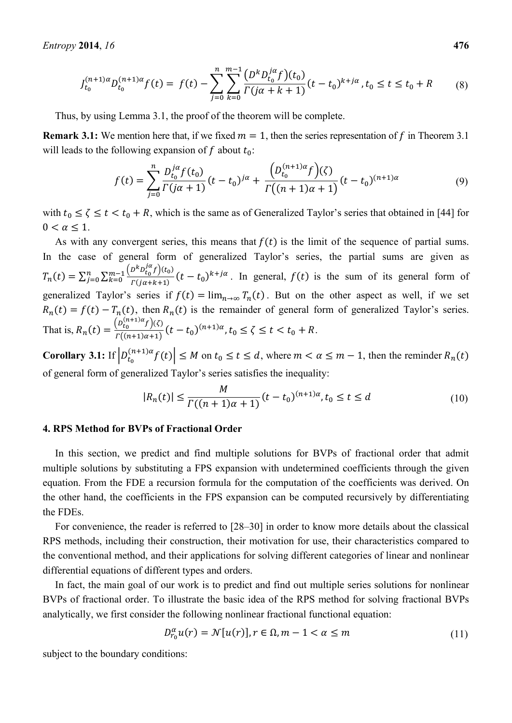$$
J_{t_0}^{(n+1)\alpha} D_{t_0}^{(n+1)\alpha} f(t) = f(t) - \sum_{j=0}^{n} \sum_{k=0}^{m-1} \frac{(D^k D_{t_0}^{j\alpha} f)(t_0)}{\Gamma(j\alpha + k + 1)} (t - t_0)^{k + j\alpha}, t_0 \le t \le t_0 + R
$$
 (8)

Thus, by using Lemma 3.1, the proof of the theorem will be complete.

**Remark 3.1:** We mention here that, if we fixed  $m = 1$ , then the series representation of f in Theorem 3.1 will leads to the following expansion of  $f$  about  $t_0$ :

$$
f(t) = \sum_{j=0}^{n} \frac{D_{t_0}^{j\alpha} f(t_0)}{\Gamma(j\alpha + 1)} (t - t_0)^{j\alpha} + \frac{\left(D_{t_0}^{(n+1)\alpha} f\right)(\zeta)}{\Gamma((n+1)\alpha + 1)} (t - t_0)^{(n+1)\alpha} \tag{9}
$$

with  $t_0 \le \zeta \le t < t_0 + R$ , which is the same as of Generalized Taylor's series that obtained in [44] for  $0 < \alpha \leq 1$ .

As with any convergent series, this means that  $f(t)$  is the limit of the sequence of partial sums. In the case of general form of generalized Taylor's series, the partial sums are given as  $T_n(t) = \sum_{j=0}^n \sum_{k=0}^{m-1} \frac{\left( D^k D_{t_0}^{j\alpha} f \right)(t_0)}{\Gamma(i\alpha + k + 1)}$  $\Gamma(j\alpha+k+1)$  $\sum_{j=0}^{n} \sum_{k=0}^{m-1} \frac{(-1)^{k-1} \zeta^{k-1} \zeta^{k-1}}{\Gamma(i\alpha+k+1)} (t-t_0)^{k+j\alpha}$ . In general,  $f(t)$  is the sum of its general form of generalized Taylor's series if  $f(t) = \lim_{n \to \infty} T_n(t)$ . But on the other aspect as well, if we set  $R_n(t) = f(t) - T_n(t)$ , then  $R_n(t)$  is the remainder of general form of generalized Taylor's series. That is,  $R_n(t) = \frac{\left(p_{t_0}^{(n+1)\alpha} f\right)(\zeta)}{\Gamma((n+1)\alpha+1)} (t - t_0)^{(n+1)\alpha}, t_0 \le \zeta \le t < t_0 + R.$ 

**Corollary 3.1:** If  $|D_{t_0}^{(n+1)\alpha} f(t)| \leq M$  on  $t_0 \leq t \leq d$ , where  $m < \alpha \leq m-1$ , then the reminder  $R_n(t)$ of general form of generalized Taylor's series satisfies the inequality:

$$
|R_n(t)| \le \frac{M}{\Gamma((n+1)\alpha + 1)} (t - t_0)^{(n+1)\alpha}, t_0 \le t \le d
$$
\n(10)

#### **4. RPS Method for BVPs of Fractional Order**

In this section, we predict and find multiple solutions for BVPs of fractional order that admit multiple solutions by substituting a FPS expansion with undetermined coefficients through the given equation. From the FDE a recursion formula for the computation of the coefficients was derived. On the other hand, the coefficients in the FPS expansion can be computed recursively by differentiating the FDEs.

For convenience, the reader is referred to [28–30] in order to know more details about the classical RPS methods, including their construction, their motivation for use, their characteristics compared to the conventional method, and their applications for solving different categories of linear and nonlinear differential equations of different types and orders.

In fact, the main goal of our work is to predict and find out multiple series solutions for nonlinear BVPs of fractional order. To illustrate the basic idea of the RPS method for solving fractional BVPs analytically, we first consider the following nonlinear fractional functional equation:

$$
D_{r_0}^{\alpha}u(r) = \mathcal{N}[u(r)], r \in \Omega, m-1 < \alpha \le m \tag{11}
$$

subject to the boundary conditions: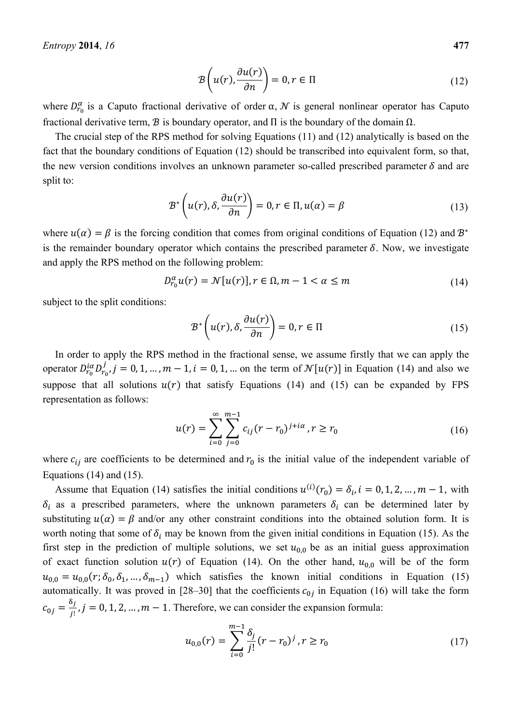$$
\mathcal{B}\left(u(r),\frac{\partial u(r)}{\partial n}\right) = 0, r \in \Pi
$$
\n(12)

where  $D_{r_0}^{\alpha}$  is a Caputo fractional derivative of order  $\alpha$ ,  $\mathcal N$  is general nonlinear operator has Caputo fractional derivative term,  $\mathcal B$  is boundary operator, and Π is the boundary of the domain  $\Omega$ .

The crucial step of the RPS method for solving Equations (11) and (12) analytically is based on the fact that the boundary conditions of Equation (12) should be transcribed into equivalent form, so that, the new version conditions involves an unknown parameter so-called prescribed parameter  $\delta$  and are split to:

$$
\mathcal{B}^*\left(u(r), \delta, \frac{\partial u(r)}{\partial n}\right) = 0, r \in \Pi, u(\alpha) = \beta \tag{13}
$$

where  $u(\alpha) = \beta$  is the forcing condition that comes from original conditions of Equation (12) and  $\mathcal{B}^*$ is the remainder boundary operator which contains the prescribed parameter  $\delta$ . Now, we investigate and apply the RPS method on the following problem:

$$
D_{r_0}^{\alpha}u(r) = \mathcal{N}[u(r)], r \in \Omega, m-1 < \alpha \le m \tag{14}
$$

subject to the split conditions:

$$
\mathcal{B}^*\left(u(r), \delta, \frac{\partial u(r)}{\partial n}\right) = 0, r \in \Pi
$$
\n(15)

In order to apply the RPS method in the fractional sense, we assume firstly that we can apply the operator  $D_{r_0}^{ia}D_{r_0}^j$ ,  $j = 0, 1, ..., m - 1, i = 0, 1, ...$  on the term of  $\mathcal{N}[u(r)]$  in Equation (14) and also we suppose that all solutions  $u(r)$  that satisfy Equations (14) and (15) can be expanded by FPS representation as follows:

$$
u(r) = \sum_{i=0}^{\infty} \sum_{j=0}^{m-1} c_{ij}(r - r_0)^{j+i\alpha}, r \ge r_0
$$
 (16)

where  $c_{ij}$  are coefficients to be determined and  $r_0$  is the initial value of the independent variable of Equations  $(14)$  and  $(15)$ .

Assume that Equation (14) satisfies the initial conditions  $u^{(i)}(r_0) = \delta_i$ ,  $i = 0, 1, 2, ..., m - 1$ , with  $\delta_i$  as a prescribed parameters, where the unknown parameters  $\delta_i$  can be determined later by substituting  $u(\alpha) = \beta$  and/or any other constraint conditions into the obtained solution form. It is worth noting that some of  $\delta_i$  may be known from the given initial conditions in Equation (15). As the first step in the prediction of multiple solutions, we set  $u_{0,0}$  be as an initial guess approximation of exact function solution  $u(r)$  of Equation (14). On the other hand,  $u_{0,0}$  will be of the form  $u_{0,0} = u_{0,0}(r; \delta_0, \delta_1, \dots, \delta_{m-1})$  which satisfies the known initial conditions in Equation (15) automatically. It was proved in [28–30] that the coefficients  $c_{0i}$  in Equation (16) will take the form  $c_{0j} = \frac{\delta_j}{i!}$  $\frac{dy}{dt}$ ,  $j = 0, 1, 2, ..., m - 1$ . Therefore, we can consider the expansion formula:

$$
u_{0,0}(r) = \sum_{i=0}^{m-1} \frac{\delta_j}{j!} (r - r_0)^j, r \ge r_0
$$
\n(17)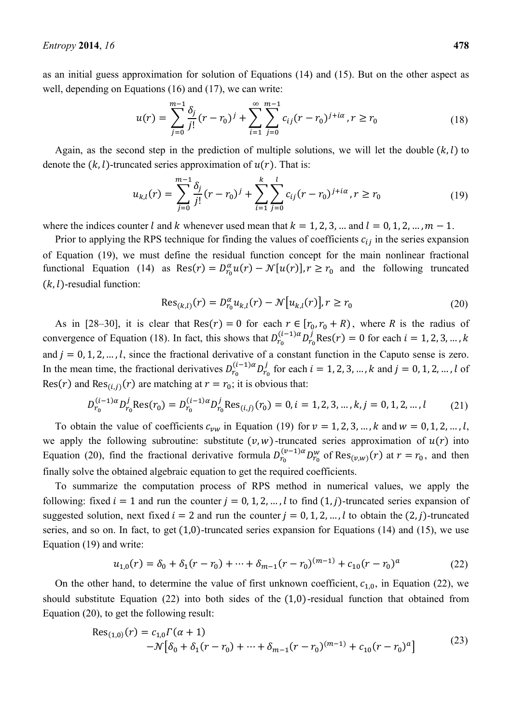as an initial guess approximation for solution of Equations (14) and (15). But on the other aspect as well, depending on Equations (16) and (17), we can write:

$$
u(r) = \sum_{j=0}^{m-1} \frac{\delta_j}{j!} (r - r_0)^j + \sum_{i=1}^{\infty} \sum_{j=0}^{m-1} c_{ij} (r - r_0)^{j+i\alpha}, r \ge r_0
$$
 (18)

Again, as the second step in the prediction of multiple solutions, we will let the double  $(k, l)$  to denote the  $(k, l)$ -truncated series approximation of  $u(r)$ . That is:

$$
u_{k,l}(r) = \sum_{j=0}^{m-1} \frac{\delta_j}{j!} (r - r_0)^j + \sum_{i=1}^k \sum_{j=0}^l c_{ij} (r - r_0)^{j+i\alpha}, r \ge r_0
$$
\n(19)

where the indices counter l and k whenever used mean that  $k = 1, 2, 3, ...$  and  $l = 0, 1, 2, ...$ ,  $m - 1$ .

Prior to applying the RPS technique for finding the values of coefficients  $c_{ij}$  in the series expansion of Equation (19), we must define the residual function concept for the main nonlinear fractional functional Equation (14) as  $\text{Res}(r) = D_{r_0}^{\alpha} u(r) - \mathcal{N}[u(r)]$ ,  $r \ge r_0$  and the following truncated  $(k, l)$ -resudial function:

$$
Res_{(k,l)}(r) = D_{r_0}^{\alpha} u_{k,l}(r) - \mathcal{N}[u_{k,l}(r)], r \ge r_0
$$
\n(20)

As in [28–30], it is clear that Res(r) = 0 for each  $r \in [r_0, r_0 + R)$ , where R is the radius of convergence of Equation (18). In fact, this shows that  $D_{r_0}^{(i-1)\alpha} D_{r_0}^j$  Res $(r) = 0$  for each  $i = 1, 2, 3, ..., k$ and  $j = 0, 1, 2, ..., l$ , since the fractional derivative of a constant function in the Caputo sense is zero. In the mean time, the fractional derivatives  $D_{r_0}^{(i-1)\alpha} D_{r_0}^j$  for each  $i = 1, 2, 3, ..., k$  and  $j = 0, 1, 2, ..., l$  of Res(r) and Res<sub> $(i,j)$ </sub> $(r)$  are matching at  $r = r_0$ ; it is obvious that:

$$
D_{r_0}^{(i-1)\alpha} D_{r_0}^j \text{Res}(r_0) = D_{r_0}^{(i-1)\alpha} D_{r_0}^j \text{Res}_{(i,j)}(r_0) = 0, i = 1, 2, 3, ..., k, j = 0, 1, 2, ..., l \tag{21}
$$

To obtain the value of coefficients  $c_{vw}$  in Equation (19) for  $v = 1, 2, 3, ..., k$  and  $w = 0, 1, 2, ..., l$ , we apply the following subroutine: substitute  $(v, w)$ -truncated series approximation of  $u(r)$  into Equation (20), find the fractional derivative formula  $D_{r_0}^{(v-1)\alpha} D_{r_0}^w$  of Res $_{(v,w)}(r)$  at  $r = r_0$ , and then finally solve the obtained algebraic equation to get the required coefficients.

To summarize the computation process of RPS method in numerical values, we apply the following: fixed  $i = 1$  and run the counter  $j = 0, 1, 2, ..., l$  to find  $(1, j)$ -truncated series expansion of suggested solution, next fixed  $i = 2$  and run the counter  $j = 0, 1, 2, ..., l$  to obtain the  $(2, j)$ -truncated series, and so on. In fact, to get  $(1,0)$ -truncated series expansion for Equations (14) and (15), we use Equation (19) and write:

$$
u_{1,0}(r) = \delta_0 + \delta_1(r - r_0) + \dots + \delta_{m-1}(r - r_0)^{(m-1)} + c_{10}(r - r_0)^a \tag{22}
$$

On the other hand, to determine the value of first unknown coefficient,  $c_{1,0}$ , in Equation (22), we should substitute Equation  $(22)$  into both sides of the  $(1,0)$ -residual function that obtained from Equation (20), to get the following result:

$$
Res_{(1,0)}(r) = c_{1,0} \Gamma(\alpha + 1)
$$
  
- $\mathcal{N} \left[ \delta_0 + \delta_1(r - r_0) + \dots + \delta_{m-1}(r - r_0)^{(m-1)} + c_{10}(r - r_0)^a \right]$  (23)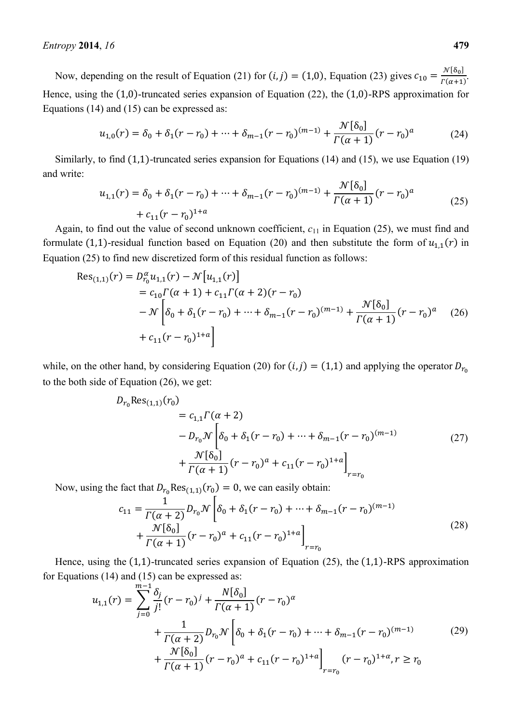Now, depending on the result of Equation (21) for  $(i, j) = (1,0)$ , Equation (23) gives  $c_{10} = \frac{\mathcal{N}[8_0]}{\Gamma(\alpha+1)}$  $\frac{\partial \mathbf{v}[\omega_0]}{\partial \mathbf{r}(\alpha+1)}$ . Hence, using the  $(1,0)$ -truncated series expansion of Equation  $(22)$ , the  $(1,0)$ -RPS approximation for Equations (14) and (15) can be expressed as:

$$
u_{1,0}(r) = \delta_0 + \delta_1(r - r_0) + \dots + \delta_{m-1}(r - r_0)^{(m-1)} + \frac{\mathcal{N}[\delta_0]}{\Gamma(\alpha + 1)}(r - r_0)^a \tag{24}
$$

Similarly, to find  $(1,1)$ -truncated series expansion for Equations (14) and (15), we use Equation (19) and write:

$$
u_{1,1}(r) = \delta_0 + \delta_1(r - r_0) + \dots + \delta_{m-1}(r - r_0)^{(m-1)} + \frac{\mathcal{N}[\delta_0]}{\Gamma(\alpha + 1)}(r - r_0)^a
$$
  
+  $c_{11}(r - r_0)^{1+a}$  (25)

Again, to find out the value of second unknown coefficient, *c*11 in Equation (25), we must find and formulate (1,1)-residual function based on Equation (20) and then substitute the form of  $u_{1,1}(r)$  in Equation (25) to find new discretized form of this residual function as follows:

$$
\text{Res}_{(1,1)}(r) = D_{r_0}^{\alpha} u_{1,1}(r) - \mathcal{N}[u_{1,1}(r)]
$$
  
\n
$$
= c_{10} \Gamma(\alpha + 1) + c_{11} \Gamma(\alpha + 2)(r - r_0)
$$
  
\n
$$
- \mathcal{N}\left[\delta_0 + \delta_1(r - r_0) + \dots + \delta_{m-1}(r - r_0)^{(m-1)} + \frac{\mathcal{N}[\delta_0]}{\Gamma(\alpha + 1)}(r - r_0)^{\alpha} \right]
$$
(26)  
\n
$$
+ c_{11}(r - r_0)^{1+a}
$$

while, on the other hand, by considering Equation (20) for  $(i, j) = (1,1)$  and applying the operator  $D_{r_0}$ to the both side of Equation (26), we get:

$$
D_{r_0} Res_{(1,1)}(r_0)
$$
  
=  $c_{1,1} \Gamma(\alpha + 2)$   
-  $D_{r_0} \mathcal{N} \left[ \delta_0 + \delta_1 (r - r_0) + \dots + \delta_{m-1} (r - r_0)^{(m-1)} \right]$   
+  $\frac{\mathcal{N}[\delta_0]}{\Gamma(\alpha + 1)} (r - r_0)^a + c_{11} (r - r_0)^{1+a} \Big|_{r = r_0}$  (27)

Now, using the fact that  $D_{r_0}$ Res $_{(1,1)}(r_0) = 0$ , we can easily obtain:

$$
c_{11} = \frac{1}{\Gamma(\alpha+2)} D_{r_0} \mathcal{N} \left[ \delta_0 + \delta_1 (r - r_0) + \dots + \delta_{m-1} (r - r_0)^{(m-1)} \right. \\
\left. + \frac{\mathcal{N}[\delta_0]}{\Gamma(\alpha+1)} (r - r_0)^a + c_{11} (r - r_0)^{1+a} \right]_{r = r_0}
$$
\n(28)

Hence, using the  $(1,1)$ -truncated series expansion of Equation  $(25)$ , the  $(1,1)$ -RPS approximation for Equations (14) and (15) can be expressed as:

$$
u_{1,1}(r) = \sum_{j=0}^{m-1} \frac{\delta_j}{j!} (r - r_0)^j + \frac{N[\delta_0]}{\Gamma(\alpha + 1)} (r - r_0)^{\alpha} + \frac{1}{\Gamma(\alpha + 2)} D_{r_0} \mathcal{N} \left[ \delta_0 + \delta_1 (r - r_0) + \dots + \delta_{m-1} (r - r_0)^{(m-1)} \right] + \frac{\mathcal{N}[\delta_0]}{\Gamma(\alpha + 1)} (r - r_0)^{\alpha} + c_{11} (r - r_0)^{1+a} \Big|_{r = r_0} (r - r_0)^{1+\alpha}, r \ge r_0
$$
 (29)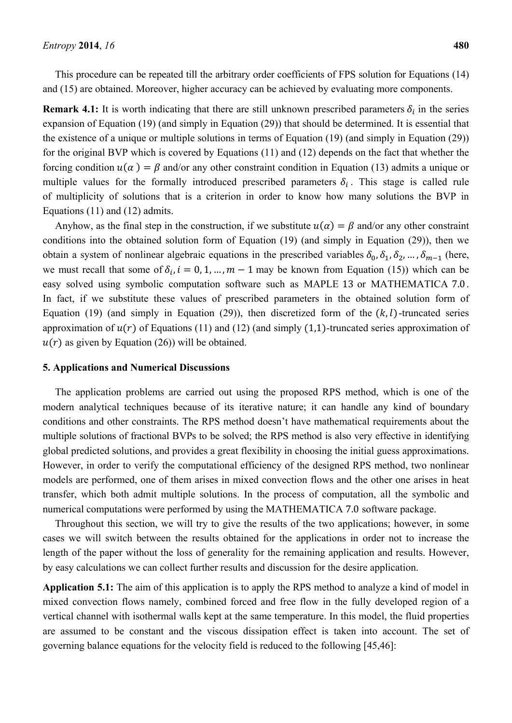This procedure can be repeated till the arbitrary order coefficients of FPS solution for Equations (14) and (15) are obtained. Moreover, higher accuracy can be achieved by evaluating more components.

**Remark 4.1:** It is worth indicating that there are still unknown prescribed parameters  $\delta_i$  in the series expansion of Equation (19) (and simply in Equation (29)) that should be determined. It is essential that the existence of a unique or multiple solutions in terms of Equation (19) (and simply in Equation (29)) for the original BVP which is covered by Equations (11) and (12) depends on the fact that whether the forcing condition  $u(\alpha) = \beta$  and/or any other constraint condition in Equation (13) admits a unique or multiple values for the formally introduced prescribed parameters  $\delta_i$ . This stage is called rule of multiplicity of solutions that is a criterion in order to know how many solutions the BVP in Equations (11) and (12) admits.

Anyhow, as the final step in the construction, if we substitute  $u(\alpha) = \beta$  and/or any other constraint conditions into the obtained solution form of Equation (19) (and simply in Equation (29)), then we obtain a system of nonlinear algebraic equations in the prescribed variables  $\delta_0$ ,  $\delta_1$ ,  $\delta_2$ , ...,  $\delta_{m-1}$  (here, we must recall that some of  $\delta_i$ ,  $i = 0, 1, ..., m - 1$  may be known from Equation (15)) which can be easy solved using symbolic computation software such as MAPLE 13 or MATHEMATICA 7.0. In fact, if we substitute these values of prescribed parameters in the obtained solution form of Equation (19) (and simply in Equation (29)), then discretized form of the  $(k, l)$ -truncated series approximation of  $u(r)$  of Equations (11) and (12) (and simply (1,1)-truncated series approximation of  $u(r)$  as given by Equation (26)) will be obtained.

#### **5. Applications and Numerical Discussions**

The application problems are carried out using the proposed RPS method, which is one of the modern analytical techniques because of its iterative nature; it can handle any kind of boundary conditions and other constraints. The RPS method doesn't have mathematical requirements about the multiple solutions of fractional BVPs to be solved; the RPS method is also very effective in identifying global predicted solutions, and provides a great flexibility in choosing the initial guess approximations. However, in order to verify the computational efficiency of the designed RPS method, two nonlinear models are performed, one of them arises in mixed convection flows and the other one arises in heat transfer, which both admit multiple solutions. In the process of computation, all the symbolic and numerical computations were performed by using the MATHEMATICA 7.0 software package.

Throughout this section, we will try to give the results of the two applications; however, in some cases we will switch between the results obtained for the applications in order not to increase the length of the paper without the loss of generality for the remaining application and results. However, by easy calculations we can collect further results and discussion for the desire application.

**Application 5.1:** The aim of this application is to apply the RPS method to analyze a kind of model in mixed convection flows namely, combined forced and free flow in the fully developed region of a vertical channel with isothermal walls kept at the same temperature. In this model, the fluid properties are assumed to be constant and the viscous dissipation effect is taken into account. The set of governing balance equations for the velocity field is reduced to the following [45,46]: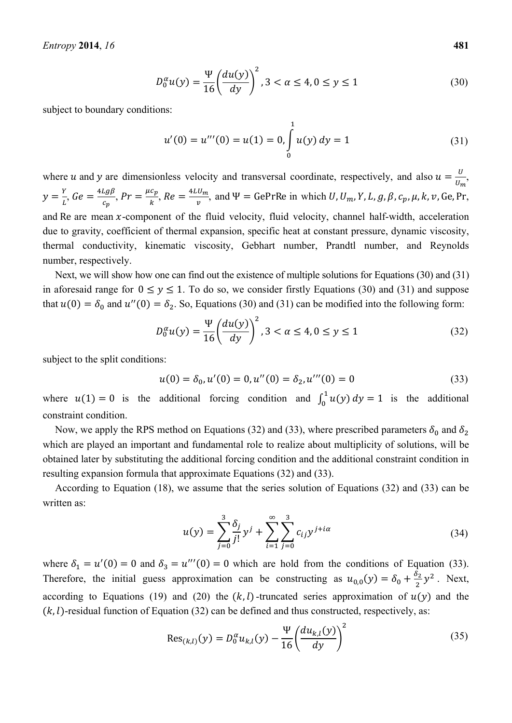$$
D_0^{\alpha} u(y) = \frac{\Psi}{16} \left( \frac{du(y)}{dy} \right)^2, 3 < \alpha \le 4, 0 \le y \le 1
$$
 (30)

subject to boundary conditions:

$$
u'(0) = u'''(0) = u(1) = 0, \int_{0}^{1} u(y) dy = 1
$$
\n(31)

where u and y are dimensionless velocity and transversal coordinate, respectively, and also  $u = \frac{v}{u}$  $U_m$ ,  $y = \frac{Y}{L}$  $\frac{Y}{L}$ ,  $Ge = \frac{4Lg\beta}{c_p}$ ,  $Pr = \frac{\mu c_p}{k}$ ,  $Re = \frac{4LU_m}{v}$ , and  $\Psi = GePrRe$  in which  $U, U_m, Y, L, g, \beta, c_p, \mu, k, v$ , Ge, Pr, and Re are mean  $x$ -component of the fluid velocity, fluid velocity, channel half-width, acceleration due to gravity, coefficient of thermal expansion, specific heat at constant pressure, dynamic viscosity, thermal conductivity, kinematic viscosity, Gebhart number, Prandtl number, and Reynolds number, respectively.

Next, we will show how one can find out the existence of multiple solutions for Equations (30) and (31) in aforesaid range for  $0 \le y \le 1$ . To do so, we consider firstly Equations (30) and (31) and suppose that  $u(0) = \delta_0$  and  $u''(0) = \delta_2$ . So, Equations (30) and (31) can be modified into the following form:

$$
D_0^{\alpha}u(y) = \frac{\Psi}{16} \left(\frac{du(y)}{dy}\right)^2, 3 < \alpha \le 4, 0 \le y \le 1
$$
 (32)

subject to the split conditions:

$$
u(0) = \delta_0, u'(0) = 0, u''(0) = \delta_2, u'''(0) = 0 \tag{33}
$$

where  $u(1) = 0$  is the additional forcing condition and  $\int_0^1 u(y) dy = 1$  is the additional constraint condition.

Now, we apply the RPS method on Equations (32) and (33), where prescribed parameters  $\delta_0$  and  $\delta_2$ which are played an important and fundamental role to realize about multiplicity of solutions, will be obtained later by substituting the additional forcing condition and the additional constraint condition in resulting expansion formula that approximate Equations (32) and (33).

According to Equation (18), we assume that the series solution of Equations (32) and (33) can be written as:

$$
u(y) = \sum_{j=0}^{3} \frac{\delta_j}{j!} y^j + \sum_{i=1}^{\infty} \sum_{j=0}^{3} c_{ij} y^{j+i\alpha}
$$
 (34)

where  $\delta_1 = u'(0) = 0$  and  $\delta_3 = u'''(0) = 0$  which are hold from the conditions of Equation (33). Therefore, the initial guess approximation can be constructing as  $u_{0,0}(y) = \delta_0 + \frac{\delta_2}{2}$  $\frac{32}{2}y^2$ . Next, according to Equations (19) and (20) the  $(k, l)$ -truncated series approximation of  $u(y)$  and the  $(k, l)$ -residual function of Equation (32) can be defined and thus constructed, respectively, as:

$$
Res_{(k,l)}(y) = D_0^{\alpha} u_{k,l}(y) - \frac{\Psi}{16} \left( \frac{d u_{k,l}(y)}{dy} \right)^2
$$
 (35)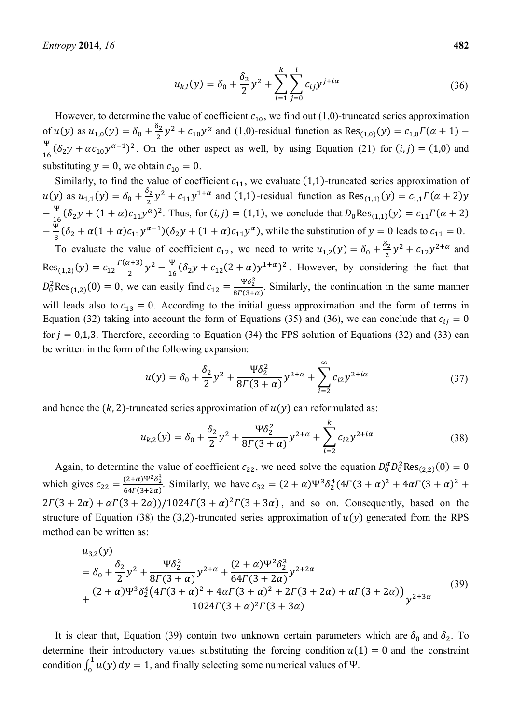$$
u_{k,l}(y) = \delta_0 + \frac{\delta_2}{2} y^2 + \sum_{i=1}^k \sum_{j=0}^l c_{ij} y^{j+i\alpha}
$$
 (36)

However, to determine the value of coefficient  $c_{10}$ , we find out (1,0)-truncated series approximation of  $u(y)$  as  $u_{1,0}(y) = \delta_0 + \frac{\delta_2}{2} y^2 + c_{10} y^{\alpha}$  and (1,0)-residual function as  $\text{Res}_{(1,0)}(y) = c_{1,0} \Gamma(\alpha + 1)$  $\frac{\Psi}{\sigma}(\delta x + \alpha c, y^{(\alpha-1)})^2$  On  $\frac{1}{16}$  ( $\delta_2 y + \alpha c_{10} y^{\alpha-1}$ )<sup>2</sup>. On the other aspect as well, by using Equation (21) for (*i*, *j*) = (1,0) and substituting  $y = 0$ , we obtain  $c_{10} = 0$ .

Similarly, to find the value of coefficient  $c_{11}$ , we evaluate (1,1)-truncated series approximation of  $u(y)$  as  $u_{1,1}(y) = \delta_0 + \frac{\delta_2}{2}$  $\frac{a_2}{2}y^2 + c_{11}y^{1+\alpha}$  and (1,1)-residual function as  $\text{Res}_{(1,1)}(y) = c_{1,1}\Gamma(\alpha + 2)y$  $-\frac{\Psi}{16}$  $\frac{1}{16}(\delta_2 y + (1 + \alpha)c_{11}y^{\alpha})^2$ . Thus, for  $(i, j) = (1, 1)$ , we conclude that  $D_0 \text{Res}_{(1,1)}(y) = c_{11}\Gamma(\alpha + 2)$  $-\frac{\Psi}{8}$  $\frac{1}{8}(\delta_2 + \alpha(1 + \alpha)c_{11}y^{\alpha-1})(\delta_2y + (1 + \alpha)c_{11}y^{\alpha})$ , while the substitution of  $y = 0$  leads to  $c_{11} = 0$ .

To evaluate the value of coefficient  $c_{12}$ , we need to write  $u_{1,2}(y) = \delta_0 + \frac{\delta_2}{2} y^2 + c_{12} y^{2+\alpha}$  and  $\overline{a}$ Res<sub>(1,2)</sub>(y) =  $c_{12} \frac{\Gamma(\alpha+3)}{2}$  $\frac{x+3}{2}y^2 - \frac{9}{16}$  $\frac{1}{16}(\delta_2 y + c_{12}(2+\alpha)y^{1+\alpha})^2$ . However, by considering the fact that  $D_0^2 \text{Res}_{(1,2)}(0) = 0$ , we can easily find  $c_{12} = \frac{\Psi \delta_2^2}{8 \Gamma(3 + 1)}$  $\frac{40}{8}$ . Similarly, the continuation in the same manner will leads also to  $c_{13} = 0$ . According to the initial guess approximation and the form of terms in Equation (32) taking into account the form of Equations (35) and (36), we can conclude that  $c_{ij} = 0$ for  $j = 0,1,3$ . Therefore, according to Equation (34) the FPS solution of Equations (32) and (33) can be written in the form of the following expansion:

$$
u(y) = \delta_0 + \frac{\delta_2}{2} y^2 + \frac{\Psi \delta_2^2}{8\Gamma(3+\alpha)} y^{2+\alpha} + \sum_{i=2}^{\infty} c_{i2} y^{2+i\alpha}
$$
 (37)

and hence the  $(k, 2)$ -truncated series approximation of  $u(y)$  can reformulated as:

$$
u_{k,2}(y) = \delta_0 + \frac{\delta_2}{2} y^2 + \frac{\Psi \delta_2^2}{8\Gamma(3+\alpha)} y^{2+\alpha} + \sum_{i=2}^k c_{i2} y^{2+i\alpha}
$$
 (38)

Again, to determine the value of coefficient  $c_{22}$ , we need solve the equation  $D_0^{\alpha} D_0^2 \text{Res}_{(2,2)}(0) = 0$ which gives  $c_{22} = \frac{(2+\alpha)\Psi^2 \delta_2^3}{64\Gamma(3+2\alpha)}$  $\frac{(2+\alpha)\pi}{64\Gamma(3+2\alpha)}$ . Similarly, we have  $c_{32} = (2+\alpha)\Psi^3 \delta_2^4 (4\Gamma(3+\alpha)^2 + 4\alpha \Gamma(3+\alpha)^2 + \Theta_2^2$  $2\Gamma(3 + 2\alpha) + \alpha \Gamma(3 + 2\alpha) / 1024\Gamma(3 + \alpha)^2 \Gamma(3 + 3\alpha)$ , and so on. Consequently, based on the structure of Equation (38) the (3,2)-truncated series approximation of  $u(y)$  generated from the RPS method can be written as:

$$
u_{3,2}(y)
$$
\n
$$
= \delta_0 + \frac{\delta_2}{2} y^2 + \frac{\Psi \delta_2^2}{8\Gamma(3+\alpha)} y^{2+\alpha} + \frac{(2+\alpha)\Psi^2 \delta_2^3}{64\Gamma(3+2\alpha)} y^{2+2\alpha}
$$
\n
$$
+ \frac{(2+\alpha)\Psi^3 \delta_2^4 (4\Gamma(3+\alpha)^2 + 4\alpha\Gamma(3+\alpha)^2 + 2\Gamma(3+2\alpha) + \alpha\Gamma(3+2\alpha))}{1024\Gamma(3+\alpha)^2 \Gamma(3+3\alpha)} y^{2+3\alpha}
$$
\n(39)

It is clear that, Equation (39) contain two unknown certain parameters which are  $\delta_0$  and  $\delta_2$ . To determine their introductory values substituting the forcing condition  $u(1) = 0$  and the constraint condition  $\int_0^1 u(y) dy = 1$ , and finally selecting some numerical values of Ψ.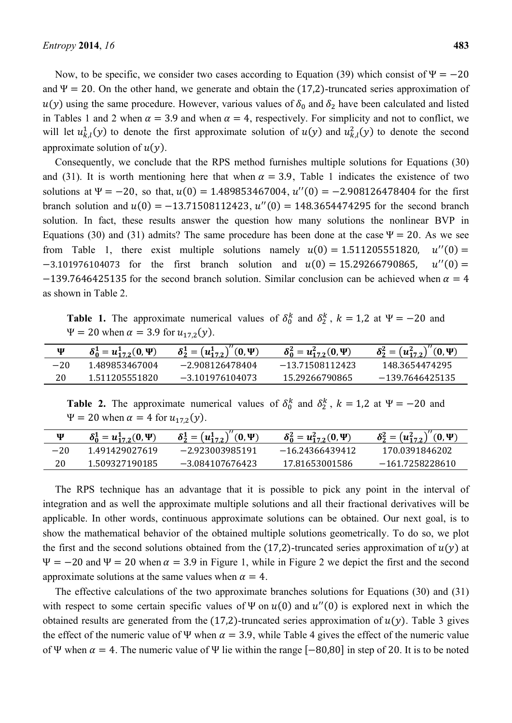Now, to be specific, we consider two cases according to Equation (39) which consist of  $\Psi = -20$ and  $\Psi = 20$ . On the other hand, we generate and obtain the (17,2)-truncated series approximation of  $u(y)$  using the same procedure. However, various values of  $\delta_0$  and  $\delta_2$  have been calculated and listed in Tables 1 and 2 when  $\alpha = 3.9$  and when  $\alpha = 4$ , respectively. For simplicity and not to conflict, we will let  $u_{k,l}^1(y)$  to denote the first approximate solution of  $u(y)$  and  $u_{k,l}^2(y)$  to denote the second approximate solution of  $u(y)$ .

Consequently, we conclude that the RPS method furnishes multiple solutions for Equations (30) and (31). It is worth mentioning here that when  $\alpha = 3.9$ . Table 1 indicates the existence of two solutions at  $\Psi = -20$ , so that,  $u(0) = 1.489853467004$ ,  $u''(0) = -2.908126478404$  for the first branch solution and  $u(0) = -13.71508112423$ ,  $u''(0) = 148.3654474295$  for the second branch solution. In fact, these results answer the question how many solutions the nonlinear BVP in Equations (30) and (31) admits? The same procedure has been done at the case  $\Psi = 20$ . As we see from Table 1, there exist multiple solutions namely  $u(0) = 1.511205551820$ ,  $u''(0) =$  $-3.101976104073$  for the first branch solution and  $u(0) = 15.29266790865$ ,  $u''(0) =$  $-139.7646425135$  for the second branch solution. Similar conclusion can be achieved when  $\alpha = 4$ as shown in Table 2.

**Table 1.** The approximate numerical values of  $\delta_0^k$  and  $\delta_2^k$ ,  $k = 1,2$  at  $\Psi = -20$  and  $Ψ = 20$  when  $α = 3.9$  for  $u_{17,2}(y)$ .

| Ψ     | $\delta_0^1 = u_{172}^1(0,\Psi)$ | $\delta_2^1 = (u_{172}^1)''(0,\Psi)$ | $\delta_0^2 = u_{172}^2(0, \Psi)$ | $\delta_2^2 = (u_{17,2}^2)''(0,\Psi)$ |
|-------|----------------------------------|--------------------------------------|-----------------------------------|---------------------------------------|
| $-20$ | 1.489853467004                   | -2.908126478404                      | -13.71508112423                   | 148.3654474295                        |
| 20    | 1.511205551820                   | $-3.101976104073$                    | 15.29266790865                    | $-139.7646425135$                     |

**Table 2.** The approximate numerical values of  $\delta_0^k$  and  $\delta_2^k$ ,  $k = 1,2$  at  $\Psi = -20$  and  $Ψ = 20$  when  $α = 4$  for  $u_{17,2}(y)$ .

| w     | $\delta_0^1 = u_{172}^1(0,\Psi)$ | $\delta_2^1 = (u_{17.2}^1)''(0,\Psi)$ | $\delta_0^2 = u_{172}^2(0, \Psi)$ | $\delta_2^2 = (u_{17.2}^2)''(0,\Psi)$ |
|-------|----------------------------------|---------------------------------------|-----------------------------------|---------------------------------------|
| $-20$ | 1.491429027619                   | -2.923003985191                       | -16.24366439412                   | 170.0391846202                        |
| 20    | 1.509327190185                   | $-3.084107676423$                     | 17.81653001586                    | $-161.7258228610$                     |

The RPS technique has an advantage that it is possible to pick any point in the interval of integration and as well the approximate multiple solutions and all their fractional derivatives will be applicable. In other words, continuous approximate solutions can be obtained. Our next goal, is to show the mathematical behavior of the obtained multiple solutions geometrically. To do so, we plot the first and the second solutions obtained from the  $(17,2)$ -truncated series approximation of  $u(y)$  at  $\Psi = -20$  and  $\Psi = 20$  when  $\alpha = 3.9$  in Figure 1, while in Figure 2 we depict the first and the second approximate solutions at the same values when  $\alpha = 4$ .

The effective calculations of the two approximate branches solutions for Equations (30) and (31) with respect to some certain specific values of  $\Psi$  on  $u(0)$  and  $u''(0)$  is explored next in which the obtained results are generated from the (17,2)-truncated series approximation of  $u(y)$ . Table 3 gives the effect of the numeric value of Ψ when  $\alpha = 3.9$ , while Table 4 gives the effect of the numeric value of Ψ when  $\alpha = 4$ . The numeric value of Ψ lie within the range  $[-80,80]$  in step of 20. It is to be noted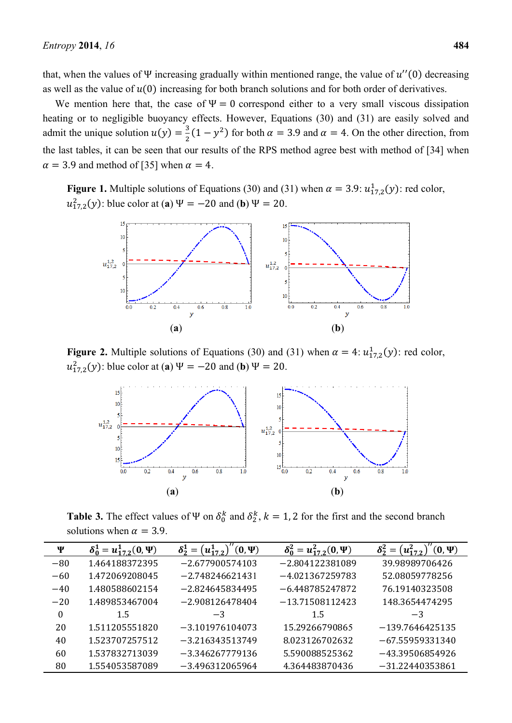that, when the values of  $\Psi$  increasing gradually within mentioned range, the value of  $u''(0)$  decreasing as well as the value of  $u(0)$  increasing for both branch solutions and for both order of derivatives.

We mention here that, the case of  $\Psi = 0$  correspond either to a very small viscous dissipation heating or to negligible buoyancy effects. However, Equations (30) and (31) are easily solved and admit the unique solution  $u(y) = \frac{3}{2}$  $\frac{3}{2}(1-y^2)$  for both  $\alpha = 3.9$  and  $\alpha = 4$ . On the other direction, from the last tables, it can be seen that our results of the RPS method agree best with method of [34] when  $\alpha = 3.9$  and method of [35] when  $\alpha = 4$ .

**Figure 1.** Multiple solutions of Equations (30) and (31) when  $\alpha = 3.9$ :  $u_{17,2}^1(y)$ : red color,  $u_{17,2}^2(y)$ : blue color at (**a**)  $\Psi = -20$  and (**b**)  $\Psi = 20$ .



**Figure 2.** Multiple solutions of Equations (30) and (31) when  $\alpha = 4$ :  $u_{17,2}^1(y)$ : red color,  $u_{17,2}^2(y)$ : blue color at (**a**)  $\Psi = -20$  and (**b**)  $\Psi = 20$ .



**Table 3.** The effect values of Ψ on  $\delta_0^k$  and  $\delta_2^k$ ,  $k = 1, 2$  for the first and the second branch solutions when  $\alpha = 3.9$ .

| Ψ        | $\delta_0^1 = u_{172}^1(0, \Psi)$ | $\delta_2^1 = (u_{172}^1)$<br>$(0, \Psi)$ | $\delta_0^2 = u_{172}^2(0, \Psi)$ | $(u_{172}^2)$<br>$(0, \Psi)$ |
|----------|-----------------------------------|-------------------------------------------|-----------------------------------|------------------------------|
| $-80$    | 1.464188372395                    | $-2.677900574103$                         | $-2.804122381089$                 | 39.98989706426               |
| $-60$    | 1.472069208045                    | $-2.748246621431$                         | $-4.021367259783$                 | 52.08059778256               |
| $-40$    | 1.480588602154                    | $-2.824645834495$                         | $-6.448785247872$                 | 76.19140323508               |
| $-20$    | 1.489853467004                    | $-2.908126478404$                         | $-13.71508112423$                 | 148.3654474295               |
| $\theta$ | 1.5                               | $-3$                                      | 1.5                               | $-3$                         |
| 20       | 1.511205551820                    | $-3.101976104073$                         | 15.29266790865                    | $-139.7646425135$            |
| 40       | 1.523707257512                    | $-3.216343513749$                         | 8.023126702632                    | $-67.55959331340$            |
| 60       | 1.537832713039                    | $-3.346267779136$                         | 5.590088525362                    | -43.39506854926              |
| 80       | 1.554053587089                    | $-3.496312065964$                         | 4.364483870436                    | $-31.22440353861$            |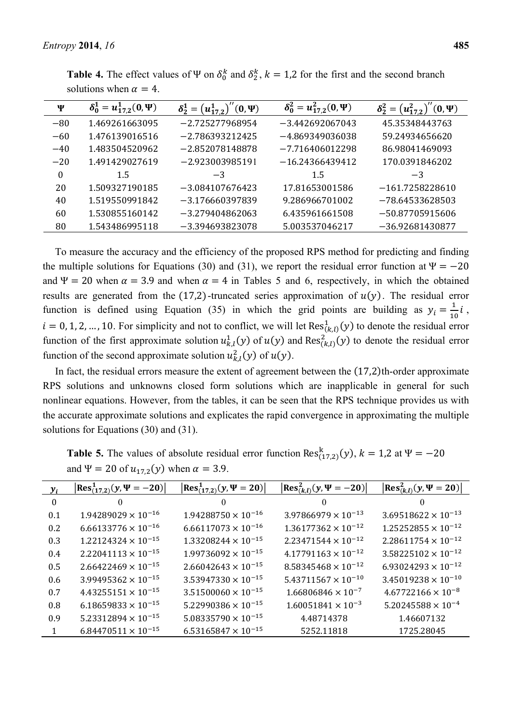| $\delta_0^1 = u_{17,2}^1(0,\Psi)$ | $\delta_2^1 = (u_{17.2}^1)''(0,\Psi)$ | $\delta_0^2 = u_{17.2}^2(0, \Psi)$ | $\delta_2^2 = (u_{17.2}^2)''(0,\Psi)$ |
|-----------------------------------|---------------------------------------|------------------------------------|---------------------------------------|
| 1.469261663095                    | $-2.725277968954$                     | $-3.442692067043$                  | 45.35348443763                        |
| 1.476139016516                    | $-2.786393212425$                     | -4.869349036038                    | 59.24934656620                        |
| 1.483504520962                    | $-2.852078148878$                     | $-7.716406012298$                  | 86.98041469093                        |
| 1.491429027619                    | $-2.923003985191$                     | $-16.24366439412$                  | 170.0391846202                        |
| 1.5                               | $-3$                                  | 1.5                                | $-3$                                  |
| 1.509327190185                    | $-3.084107676423$                     | 17.81653001586                     | $-161.7258228610$                     |
| 1.519550991842                    | $-3.176660397839$                     | 9.286966701002                     | $-78.64533628503$                     |
| 1.530855160142                    | $-3.279404862063$                     | 6.435961661508                     | $-50.87705915606$                     |
|                                   |                                       |                                    |                                       |

80 1.543486995118 െ3.394693823078 5.003537046217 െ36.92681430877

**Table 4.** The effect values of Ψ on  $\delta_0^k$  and  $\delta_2^k$ ,  $k = 1,2$  for the first and the second branch solutions when  $\alpha = 4$ .

To measure the accuracy and the efficiency of the proposed RPS method for predicting and finding the multiple solutions for Equations (30) and (31), we report the residual error function at  $\Psi = -20$ and  $\Psi = 20$  when  $\alpha = 3.9$  and when  $\alpha = 4$  in Tables 5 and 6, respectively, in which the obtained results are generated from the  $(17,2)$ -truncated series approximation of  $u(y)$ . The residual error function is defined using Equation (35) in which the grid points are building as  $y_i = \frac{1}{10}$  $\frac{1}{10}$ *i*,  $i = 0, 1, 2, ..., 10$ . For simplicity and not to conflict, we will let  $Res_{(k,l)}^1(y)$  to denote the residual error function of the first approximate solution  $u_{k,l}^1(y)$  of  $u(y)$  and  $\text{Res}_{(k,l)}^2(y)$  to denote the residual error function of the second approximate solution  $u_{k,l}^2(y)$  of  $u(y)$ .

In fact, the residual errors measure the extent of agreement between the  $(17,2)$ th-order approximate RPS solutions and unknowns closed form solutions which are inapplicable in general for such nonlinear equations. However, from the tables, it can be seen that the RPS technique provides us with the accurate approximate solutions and explicates the rapid convergence in approximating the multiple solutions for Equations (30) and (31).

**Table 5.** The values of absolute residual error function  $\text{Res}_{(17,2)}^{k}(y)$ ,  $k = 1,2$  at  $\Psi = -20$ and  $\Psi = 20$  of  $u_{17,2}(y)$  when  $\alpha = 3.9$ .

| ν.       | $ \text{Res}_{(17.2)}^{\mathbf{1}}(\mathbf{y}, \Psi = -20) $ | $\left {\rm Res}_{(17.2)}^{1}(y,\Psi=20)\right $ | $\left {\rm Res}_{(k,l)}^{2}(y,\Psi=-20)\right $ | $\left {\rm Res}_{(k,l)}^{2}(y,\Psi=20)\right $ |
|----------|--------------------------------------------------------------|--------------------------------------------------|--------------------------------------------------|-------------------------------------------------|
| $\bf{0}$ |                                                              | $_{0}$                                           |                                                  |                                                 |
| 0.1      | $1.94289029 \times 10^{-16}$                                 | $1.94288750 \times 10^{-16}$                     | $3.97866979 \times 10^{-13}$                     | $3.69518622 \times 10^{-13}$                    |
| 0.2      | $6.66133776 \times 10^{-16}$                                 | $6.66117073 \times 10^{-16}$                     | $1.36177362 \times 10^{-12}$                     | $1.25252855 \times 10^{-12}$                    |
| 0.3      | $1.22124324 \times 10^{-15}$                                 | $1.33208244 \times 10^{-15}$                     | $2.23471544 \times 10^{-12}$                     | $2.28611754 \times 10^{-12}$                    |
| 0.4      | $2.22041113 \times 10^{-15}$                                 | $1.99736092 \times 10^{-15}$                     | $4.17791163 \times 10^{-12}$                     | $3.58225102 \times 10^{-12}$                    |
| 0.5      | $2.66422469 \times 10^{-15}$                                 | $2.66042643 \times 10^{-15}$                     | $8.58345468 \times 10^{-12}$                     | $6.93024293 \times 10^{-12}$                    |
| 0.6      | $3.99495362 \times 10^{-15}$                                 | $3.53947330 \times 10^{-15}$                     | $5.43711567 \times 10^{-10}$                     | $3.45019238 \times 10^{-10}$                    |
| 0.7      | $4.43255151 \times 10^{-15}$                                 | $3.51500060 \times 10^{-15}$                     | $1.66806846 \times 10^{-7}$                      | $4.67722166 \times 10^{-8}$                     |
| 0.8      | $6.18659833 \times 10^{-15}$                                 | $5.22990386 \times 10^{-15}$                     | $1.60051841 \times 10^{-3}$                      | $5.20245588 \times 10^{-4}$                     |
| 0.9      | $5.23312894 \times 10^{-15}$                                 | $5.08335790 \times 10^{-15}$                     | 4.48714378                                       | 1.46607132                                      |
|          | $6.84470511 \times 10^{-15}$                                 | $6.53165847 \times 10^{-15}$                     | 5252.11818                                       | 1725.28045                                      |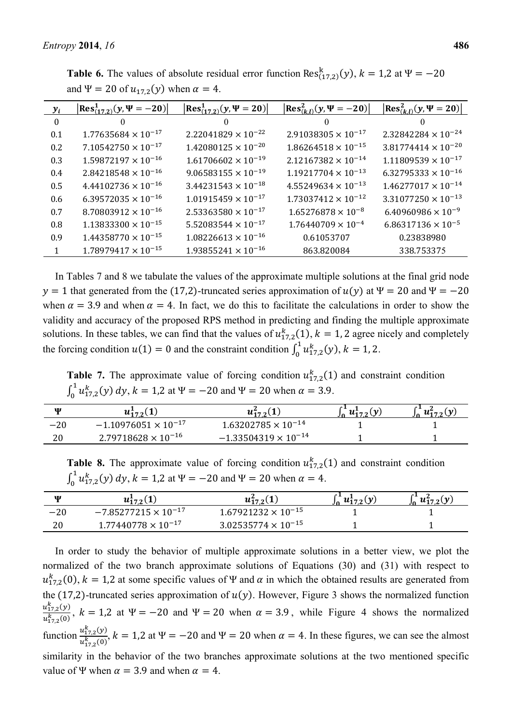**Table 6.** The values of absolute residual error function  $\text{Res}_{(17,2)}^{k}(y)$ ,  $k = 1,2$  at  $\Psi = -20$ and  $\Psi = 20$  of  $u_{17,2}(y)$  when  $\alpha = 4$ .

| $y_i$            | $\left {\rm Res}_{(17.2)}^{1}(y,\Psi=-20)\right $ | $\left {\rm Res}_{(17.2)}^{1}(y,\Psi=20)\right $ | $\left {\rm Res}_{(k,l)}^2(y,\Psi=-20)\right $ | $\left {\rm Res}_{(k,l)}^2(y,\Psi=20)\right $ |
|------------------|---------------------------------------------------|--------------------------------------------------|------------------------------------------------|-----------------------------------------------|
| $\boldsymbol{0}$ | $\Omega$                                          | $\theta$                                         |                                                |                                               |
| 0.1              | $1.77635684 \times 10^{-17}$                      | $2.22041829 \times 10^{-22}$                     | $2.91038305 \times 10^{-17}$                   | $2.32842284 \times 10^{-24}$                  |
| 0.2              | $7.10542750 \times 10^{-17}$                      | $1.42080125 \times 10^{-20}$                     | $1.86264518 \times 10^{-15}$                   | $3.81774414 \times 10^{-20}$                  |
| 0.3              | $1.59872197 \times 10^{-16}$                      | $1.61706602 \times 10^{-19}$                     | $2.12167382 \times 10^{-14}$                   | $1.11809539 \times 10^{-17}$                  |
| 0.4              | $2.84218548 \times 10^{-16}$                      | $9.06583155 \times 10^{-19}$                     | $1.19217704 \times 10^{-13}$                   | $6.32795333 \times 10^{-16}$                  |
| 0.5              | $4.44102736 \times 10^{-16}$                      | $3.44231543 \times 10^{-18}$                     | $4.55249634 \times 10^{-13}$                   | $1.46277017 \times 10^{-14}$                  |
| 0.6              | $6.39572035 \times 10^{-16}$                      | $1.01915459 \times 10^{-17}$                     | $1.73037412 \times 10^{-12}$                   | $3.31077250 \times 10^{-13}$                  |
| 0.7              | $8.70803912 \times 10^{-16}$                      | $2.53363580 \times 10^{-17}$                     | $1.65276878 \times 10^{-8}$                    | $6.40960986 \times 10^{-9}$                   |
| 0.8              | $1.13833300 \times 10^{-15}$                      | $5.52083544 \times 10^{-17}$                     | $1.76440709 \times 10^{-4}$                    | $6.86317136 \times 10^{-5}$                   |
| 0.9              | $1.44358770 \times 10^{-15}$                      | $1.08226613 \times 10^{-16}$                     | 0.61053707                                     | 0.23838980                                    |
|                  | $1.78979417 \times 10^{-15}$                      | $1.93855241 \times 10^{-16}$                     | 863.820084                                     | 338.753375                                    |

In Tables 7 and 8 we tabulate the values of the approximate multiple solutions at the final grid node  $y = 1$  that generated from the (17,2)-truncated series approximation of  $u(y)$  at  $\Psi = 20$  and  $\Psi = -20$ when  $\alpha = 3.9$  and when  $\alpha = 4$ . In fact, we do this to facilitate the calculations in order to show the validity and accuracy of the proposed RPS method in predicting and finding the multiple approximate solutions. In these tables, we can find that the values of  $u_{17,2}^k(1)$ ,  $k = 1, 2$  agree nicely and completely the forcing condition  $u(1) = 0$  and the constraint condition  $\int_0^1 u_{17,2}^k(y)$  $\int_0^1 u_{17,2}^k(y), k = 1, 2.$ 

**Table 7.** The approximate value of forcing condition  $u_{17,2}^k(1)$  and constraint condition  $\int_0^1 u_{17,2}^k(y)$  $\int_0^1 u_{17,2}^k(y) dy$ ,  $k = 1,2$  at  $\Psi = -20$  and  $\Psi = 20$  when  $\alpha = 3.9$ .

| w     | $u_{172}^{1}(1)$              | $u_{172}^2(1)$                | $u_{172}^{1}$ | $u_{172}^2$ . |
|-------|-------------------------------|-------------------------------|---------------|---------------|
| $-20$ | $-1.10976051 \times 10^{-17}$ | $1.63202785 \times 10^{-14}$  |               |               |
|       | $2.79718628 \times 10^{-16}$  | $-1.33504319 \times 10^{-14}$ |               |               |

**Table 8.** The approximate value of forcing condition  $u_{17,2}^k(1)$  and constraint condition  $\int_0^1 u_{17,2}^k(y)$  $\int_0^1 u_{17,2}^k(y) dy$ ,  $k = 1,2$  at  $\Psi = -20$  and  $\Psi = 20$  when  $\alpha = 4$ .

| w     | $u_{172}^{1}(1)$              | $u_{172}^2(1)$               | $\mathbf{u}_{172}^{1}(\mathbf{v})$ | $\int u_{172}^2$ |
|-------|-------------------------------|------------------------------|------------------------------------|------------------|
| $-20$ | $-7.85277215 \times 10^{-17}$ | $1.67921232 \times 10^{-15}$ |                                    |                  |
| 20    | $1.77440778 \times 10^{-17}$  | $3.02535774 \times 10^{-15}$ |                                    |                  |

In order to study the behavior of multiple approximate solutions in a better view, we plot the normalized of the two branch approximate solutions of Equations (30) and (31) with respect to  $u_{17,2}^{k}(0)$ ,  $k = 1,2$  at some specific values of  $\Psi$  and  $\alpha$  in which the obtained results are generated from the (17,2)-truncated series approximation of  $u(y)$ . However, Figure 3 shows the normalized function  $u_{17,2}^{k}(y)$  $\frac{\mu_{17,2}(y)}{\mu_{17,2}^k(0)}$ ,  $k = 1,2$  at  $\Psi = -20$  and  $\Psi = 20$  when  $\alpha = 3.9$ , while Figure 4 shows the normalized function  $\frac{u_{17,2}^{k}(y)}{k}$  $\frac{\mu_{17,2}(y)}{\mu_{17,2}^k(0)}$ ,  $k = 1,2$  at  $\Psi = -20$  and  $\Psi = 20$  when  $\alpha = 4$ . In these figures, we can see the almost similarity in the behavior of the two branches approximate solutions at the two mentioned specific value of Ψ when  $\alpha = 3.9$  and when  $\alpha = 4$ .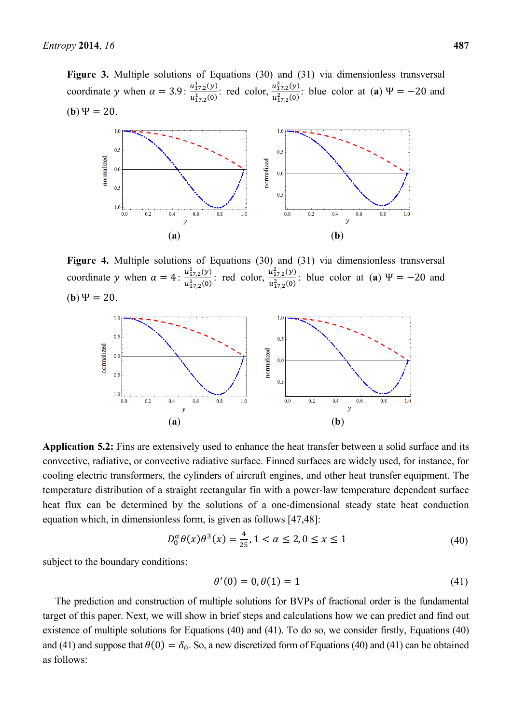**Figure 3.** Multiple solutions of Equations (30) and (31) via dimensionless transversal coordinate y when  $\alpha = 3.9$ :  $\frac{u_{17,2}^1(y)}{u_{17,2}^1(y)}$  $\frac{u_{17,2}^2(y)}{u_{17,2}^1(0)}$ : red color,  $\frac{u_{17,2}^2(y)}{u_{17,2}^2(0)}$  $\frac{\mu_{17,2}(y)}{\mu_{17,2}^2(0)}$ : blue color at (**a**)  $\Psi = -20$  and (**b**)  $\Psi = 20$ .



**Figure 4.** Multiple solutions of Equations (30) and (31) via dimensionless transversal coordinate y when  $\alpha = 4$ :  $\frac{u_{17,2}^1(y)}{u_{12,0}^1(y)}$  $\frac{u_{17,2}^2(y)}{u_{17,2}^1(0)}$ : red color,  $\frac{u_{17,2}^2(y)}{u_{17,2}^2(0)}$  $\frac{\mu_{17,2}(y)}{\mu_{17,2}^2(0)}$ : blue color at (**a**)  $\Psi = -20$  and (**b**)  $\Psi = 20$ .



**Application 5.2:** Fins are extensively used to enhance the heat transfer between a solid surface and its convective, radiative, or convective radiative surface. Finned surfaces are widely used, for instance, for cooling electric transformers, the cylinders of aircraft engines, and other heat transfer equipment. The temperature distribution of a straight rectangular fin with a power-law temperature dependent surface heat flux can be determined by the solutions of a one-dimensional steady state heat conduction equation which, in dimensionless form, is given as follows [47,48]:

$$
D_0^{\alpha} \theta(x) \theta^3(x) = \frac{4}{25}, 1 < \alpha \le 2, 0 \le x \le 1
$$
 (40)

subject to the boundary conditions:

$$
\theta'(0) = 0, \theta(1) = 1 \tag{41}
$$

The prediction and construction of multiple solutions for BVPs of fractional order is the fundamental target of this paper. Next, we will show in brief steps and calculations how we can predict and find out existence of multiple solutions for Equations (40) and (41). To do so, we consider firstly, Equations (40) and (41) and suppose that  $\theta(0) = \delta_0$ . So, a new discretized form of Equations (40) and (41) can be obtained as follows: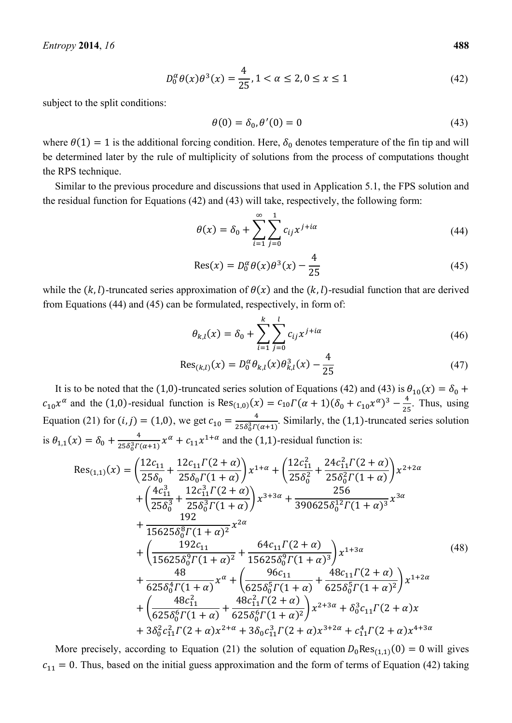$$
D_0^{\alpha} \theta(x) \theta^3(x) = \frac{4}{25}, 1 < \alpha \le 2, 0 \le x \le 1
$$
 (42)

subject to the split conditions:

$$
\theta(0) = \delta_0, \theta'(0) = 0 \tag{43}
$$

where  $\theta(1) = 1$  is the additional forcing condition. Here,  $\delta_0$  denotes temperature of the fin tip and will be determined later by the rule of multiplicity of solutions from the process of computations thought the RPS technique.

Similar to the previous procedure and discussions that used in Application 5.1, the FPS solution and the residual function for Equations (42) and (43) will take, respectively, the following form:

$$
\theta(x) = \delta_0 + \sum_{i=1}^{\infty} \sum_{j=0}^{1} c_{ij} x^{j+i\alpha}
$$
 (44)

$$
Res(x) = D_0^{\alpha} \theta(x) \theta^3(x) - \frac{4}{25}
$$
 (45)

while the  $(k, l)$ -truncated series approximation of  $\theta(x)$  and the  $(k, l)$ -resudial function that are derived from Equations (44) and (45) can be formulated, respectively, in form of:

$$
\theta_{k,l}(x) = \delta_0 + \sum_{i=1}^k \sum_{j=0}^l c_{ij} x^{j+i\alpha} \tag{46}
$$

$$
\text{Res}_{(k,l)}(x) = D_0^{\alpha} \theta_{k,l}(x) \theta_{k,l}^3(x) - \frac{4}{25}
$$
 (47)

It is to be noted that the (1,0)-truncated series solution of Equations (42) and (43) is  $\theta_{10}(x) = \delta_0 +$  $c_{10}x^{\alpha}$  and the (1,0)-residual function is  $\text{Res}_{(1,0)}(x) = c_{10}\Gamma(\alpha+1)(\delta_0 + c_{10}x^{\alpha})^3 - \frac{4}{25}$ . Thus, using ଶହ Equation (21) for  $(i, j) = (1, 0)$ , we get  $c_{10} = \frac{4}{25 \delta_0^2 I^2}$  $\frac{1}{25\delta_0^3 \Gamma(\alpha+1)}$ . Similarly, the (1,1)-truncated series solution is  $\theta_{1,1}(x) = \delta_0 + \frac{4}{25\delta_0^3 \Gamma_0^3}$  $\frac{1}{25\delta_0^3 \Gamma(\alpha+1)} x^{\alpha} + c_{11} x^{1+\alpha}$  and the (1,1)-residual function is:

$$
Res_{(1,1)}(x) = \left(\frac{12c_{11}}{25\delta_{0}} + \frac{12c_{11}\Gamma(2+\alpha)}{25\delta_{0}\Gamma(1+\alpha)}\right)x^{1+\alpha} + \left(\frac{12c_{11}^{2}}{25\delta_{0}^{2}} + \frac{24c_{11}^{2}\Gamma(2+\alpha)}{25\delta_{0}^{2}\Gamma(1+\alpha)}\right)x^{2+2\alpha} + \left(\frac{4c_{11}^{3}}{25\delta_{0}^{3}} + \frac{12c_{11}^{3}\Gamma(2+\alpha)}{25\delta_{0}^{3}\Gamma(1+\alpha)}\right)x^{3+3\alpha} + \frac{256}{390625\delta_{0}^{12}\Gamma(1+\alpha)^{3}}x^{3\alpha} + \frac{192}{15625\delta_{0}^{8}\Gamma(1+\alpha)^{2}}x^{2\alpha} + \left(\frac{192c_{11}}{15625\delta_{0}^{9}\Gamma(1+\alpha)^{2}} + \frac{64c_{11}\Gamma(2+\alpha)}{15625\delta_{0}^{9}\Gamma(1+\alpha)^{3}}\right)x^{1+3\alpha} + \frac{48}{625\delta_{0}^{4}\Gamma(1+\alpha)}x^{\alpha} + \left(\frac{96c_{11}}{625\delta_{0}^{5}\Gamma(1+\alpha)} + \frac{48c_{11}\Gamma(2+\alpha)}{625\delta_{0}^{5}\Gamma(1+\alpha)^{2}}\right)x^{1+2\alpha} + \left(\frac{48c_{11}^{2}}{625\delta_{0}^{6}\Gamma(1+\alpha)} + \frac{48c_{11}^{2}\Gamma(2+\alpha)}{625\delta_{0}^{6}\Gamma(1+\alpha)^{2}}\right)x^{2+3\alpha} + \delta_{0}^{3}c_{11}\Gamma(2+\alpha)x + 3\delta_{0}^{2}c_{11}^{2}\Gamma(2+\alpha)x^{2+\alpha} + 3\delta_{0}c_{11}^{3}\Gamma(2+\alpha)x^{3+2\alpha} + c_{11}^{4}\Gamma(2+\alpha)x^{4+3\alpha}
$$
\n
$$
(48)
$$

More precisely, according to Equation (21) the solution of equation  $D_0 Res_{(1,1)}(0) = 0$  will gives  $c_{11} = 0$ . Thus, based on the initial guess approximation and the form of terms of Equation (42) taking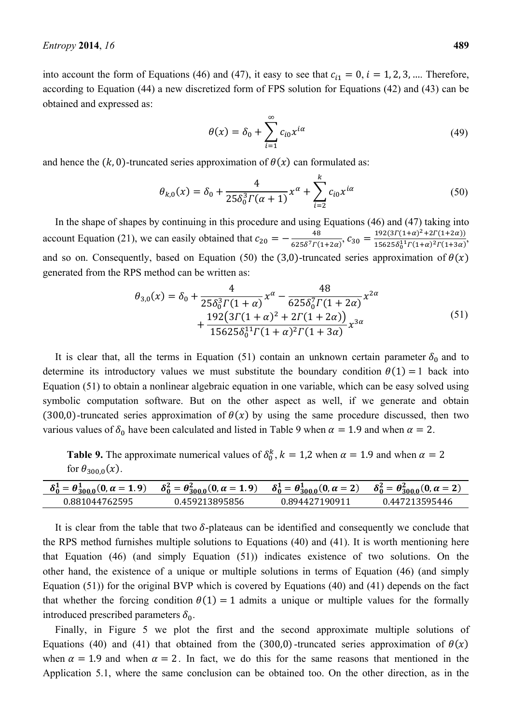into account the form of Equations (46) and (47), it easy to see that  $c_{i1} = 0$ ,  $i = 1, 2, 3, ...$  Therefore, according to Equation (44) a new discretized form of FPS solution for Equations (42) and (43) can be obtained and expressed as:

$$
\theta(x) = \delta_0 + \sum_{i=1}^{\infty} c_{i0} x^{i\alpha} \tag{49}
$$

and hence the  $(k, 0)$ -truncated series approximation of  $\theta(x)$  can formulated as:

$$
\theta_{k,0}(x) = \delta_0 + \frac{4}{25\delta_0^3 \Gamma(\alpha+1)} x^{\alpha} + \sum_{i=2}^k c_{i0} x^{i\alpha} \tag{50}
$$

In the shape of shapes by continuing in this procedure and using Equations (46) and (47) taking into account Equation (21), we can easily obtained that  $c_{20} = -\frac{48}{625\delta^7\Gamma}$  $\frac{48}{625\delta^7 \Gamma(1+2\alpha)}$ ,  $C_{30} = \frac{192(3\Gamma(1+\alpha)^2 + 2\Gamma(1+2\alpha))}{15625\delta_0^{11} \Gamma(1+\alpha)^2 \Gamma(1+3\alpha)}$  $\frac{152(5I(1+u) +2I(1+2u))}{15625\delta_0^{11}\Gamma(1+\alpha)^2\Gamma(1+3\alpha)},$ and so on. Consequently, based on Equation (50) the (3,0)-truncated series approximation of  $\theta(x)$ generated from the RPS method can be written as:

$$
\theta_{3,0}(x) = \delta_0 + \frac{4}{25\delta_0^3 \Gamma(1+\alpha)} x^{\alpha} - \frac{48}{625\delta_0^7 \Gamma(1+2\alpha)} x^{2\alpha} \n+ \frac{192(3\Gamma(1+\alpha)^2 + 2\Gamma(1+2\alpha))}{15625\delta_0^{11} \Gamma(1+\alpha)^2 \Gamma(1+3\alpha)} x^{3\alpha}
$$
\n(51)

It is clear that, all the terms in Equation (51) contain an unknown certain parameter  $\delta_0$  and to determine its introductory values we must substitute the boundary condition  $\theta(1) = 1$  back into Equation (51) to obtain a nonlinear algebraic equation in one variable, which can be easy solved using symbolic computation software. But on the other aspect as well, if we generate and obtain (300,0)-truncated series approximation of  $\theta(x)$  by using the same procedure discussed, then two various values of  $\delta_0$  have been calculated and listed in Table 9 when  $\alpha = 1.9$  and when  $\alpha = 2$ .

**Table 9.** The approximate numerical values of  $\delta_0^k$ ,  $k = 1,2$  when  $\alpha = 1.9$  and when  $\alpha = 2$ for  $\theta_{300.0}(x)$ .

| $\delta_0^1 = \theta_{300\,0}^1(0, \alpha = 1.9)$ | $\delta_0^2 = \theta_{300\,0}^2(0, \alpha = 1.9)$ $\delta_0^1 = \theta_{300\,0}^1(0, \alpha = 2)$ $\delta_0^2 = \theta_{300\,0}^2(0, \alpha = 2)$ |                |                |
|---------------------------------------------------|---------------------------------------------------------------------------------------------------------------------------------------------------|----------------|----------------|
| 0.881044762595                                    | 0.459213895856                                                                                                                                    | 0.894427190911 | 0.447213595446 |

It is clear from the table that two  $\delta$ -plateaus can be identified and consequently we conclude that the RPS method furnishes multiple solutions to Equations (40) and (41). It is worth mentioning here that Equation (46) (and simply Equation (51)) indicates existence of two solutions. On the other hand, the existence of a unique or multiple solutions in terms of Equation (46) (and simply Equation (51)) for the original BVP which is covered by Equations (40) and (41) depends on the fact that whether the forcing condition  $\theta(1) = 1$  admits a unique or multiple values for the formally introduced prescribed parameters  $\delta_0$ .

Finally, in Figure 5 we plot the first and the second approximate multiple solutions of Equations (40) and (41) that obtained from the (300,0)-truncated series approximation of  $\theta(x)$ when  $\alpha = 1.9$  and when  $\alpha = 2$ . In fact, we do this for the same reasons that mentioned in the Application 5.1, where the same conclusion can be obtained too. On the other direction, as in the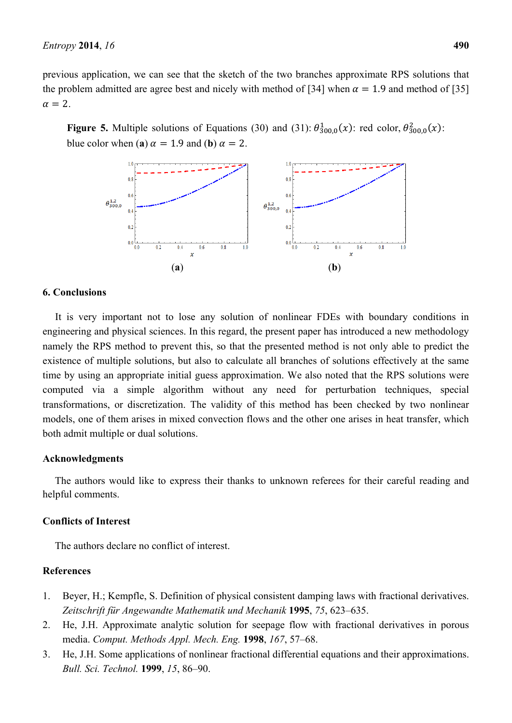previous application, we can see that the sketch of the two branches approximate RPS solutions that the problem admitted are agree best and nicely with method of [34] when  $\alpha = 1.9$  and method of [35]  $\alpha = 2$ .

**Figure 5.** Multiple solutions of Equations (30) and (31):  $\theta_{300,0}^1(x)$ : red color,  $\theta_{300,0}^2(x)$ : blue color when (**a**)  $\alpha = 1.9$  and (**b**)  $\alpha = 2$ .



# **6. Conclusions**

It is very important not to lose any solution of nonlinear FDEs with boundary conditions in engineering and physical sciences. In this regard, the present paper has introduced a new methodology namely the RPS method to prevent this, so that the presented method is not only able to predict the existence of multiple solutions, but also to calculate all branches of solutions effectively at the same time by using an appropriate initial guess approximation. We also noted that the RPS solutions were computed via a simple algorithm without any need for perturbation techniques, special transformations, or discretization. The validity of this method has been checked by two nonlinear models, one of them arises in mixed convection flows and the other one arises in heat transfer, which both admit multiple or dual solutions.

#### **Acknowledgments**

The authors would like to express their thanks to unknown referees for their careful reading and helpful comments.

# **Conflicts of Interest**

The authors declare no conflict of interest.

# **References**

- 1. Beyer, H.; Kempfle, S. Definition of physical consistent damping laws with fractional derivatives. *Zeitschrift für Angewandte Mathematik und Mechanik* **1995**, *75*, 623–635.
- 2. He, J.H. Approximate analytic solution for seepage flow with fractional derivatives in porous media. *Comput. Methods Appl. Mech. Eng.* **1998**, *167*, 57–68.
- 3. He, J.H. Some applications of nonlinear fractional differential equations and their approximations. *Bull. Sci. Technol.* **1999**, *15*, 86–90.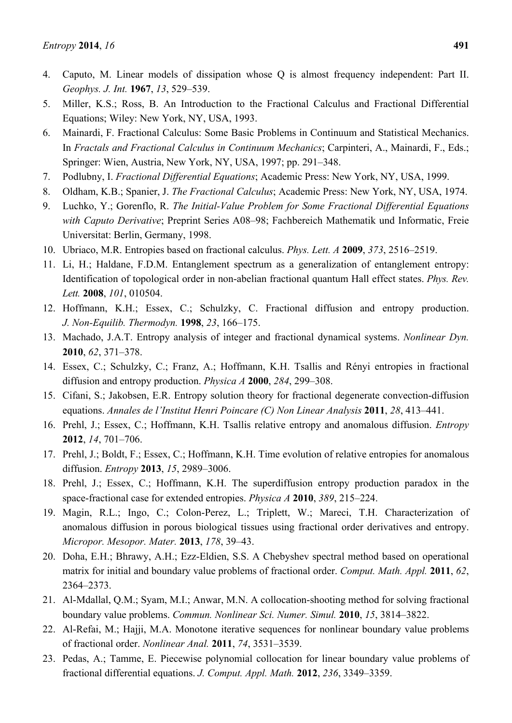- 4. Caputo, M. Linear models of dissipation whose Q is almost frequency independent: Part II. *Geophys. J. Int.* **1967**, *13*, 529–539.
- 5. Miller, K.S.; Ross, B. An Introduction to the Fractional Calculus and Fractional Differential Equations; Wiley: New York, NY, USA, 1993.
- 6. Mainardi, F. Fractional Calculus: Some Basic Problems in Continuum and Statistical Mechanics. In *Fractals and Fractional Calculus in Continuum Mechanics*; Carpinteri, A., Mainardi, F., Eds.; Springer: Wien, Austria, New York, NY, USA, 1997; pp. 291–348.
- 7. Podlubny, I. *Fractional Differential Equations*; Academic Press: New York, NY, USA, 1999.
- 8. Oldham, K.B.; Spanier, J. *The Fractional Calculus*; Academic Press: New York, NY, USA, 1974.
- 9. Luchko, Y.; Gorenflo, R. *The Initial-Value Problem for Some Fractional Differential Equations with Caputo Derivative*; Preprint Series A08–98; Fachbereich Mathematik und Informatic, Freie Universitat: Berlin, Germany, 1998.
- 10. Ubriaco, M.R. Entropies based on fractional calculus. *Phys. Lett. A* **2009**, *373*, 2516–2519.
- 11. Li, H.; Haldane, F.D.M. Entanglement spectrum as a generalization of entanglement entropy: Identification of topological order in non-abelian fractional quantum Hall effect states. *Phys. Rev. Lett.* **2008**, *101*, 010504.
- 12. Hoffmann, K.H.; Essex, C.; Schulzky, C. Fractional diffusion and entropy production. *J. Non-Equilib. Thermodyn.* **1998**, *23*, 166–175.
- 13. Machado, J.A.T. Entropy analysis of integer and fractional dynamical systems. *Nonlinear Dyn.*  **2010**, *62*, 371–378.
- 14. Essex, C.; Schulzky, C.; Franz, A.; Hoffmann, K.H. Tsallis and Rényi entropies in fractional diffusion and entropy production. *Physica A* **2000**, *284*, 299–308.
- 15. Cifani, S.; Jakobsen, E.R. Entropy solution theory for fractional degenerate convection-diffusion equations. *Annales de l'Institut Henri Poincare (C) Non Linear Analysis* **2011**, *28*, 413–441.
- 16. Prehl, J.; Essex, C.; Hoffmann, K.H. Tsallis relative entropy and anomalous diffusion. *Entropy*  **2012**, *14*, 701–706.
- 17. Prehl, J.; Boldt, F.; Essex, C.; Hoffmann, K.H. Time evolution of relative entropies for anomalous diffusion. *Entropy* **2013**, *15*, 2989–3006.
- 18. Prehl, J.; Essex, C.; Hoffmann, K.H. The superdiffusion entropy production paradox in the space-fractional case for extended entropies. *Physica A* **2010**, *389*, 215–224.
- 19. Magin, R.L.; Ingo, C.; Colon-Perez, L.; Triplett, W.; Mareci, T.H. Characterization of anomalous diffusion in porous biological tissues using fractional order derivatives and entropy. *Micropor. Mesopor. Mater.* **2013**, *178*, 39–43.
- 20. Doha, E.H.; Bhrawy, A.H.; Ezz-Eldien, S.S. A Chebyshev spectral method based on operational matrix for initial and boundary value problems of fractional order. *Comput. Math. Appl.* **2011**, *62*, 2364–2373.
- 21. Al-Mdallal, Q.M.; Syam, M.I.; Anwar, M.N. A collocation-shooting method for solving fractional boundary value problems. *Commun. Nonlinear Sci. Numer. Simul.* **2010**, *15*, 3814–3822.
- 22. Al-Refai, M.; Hajji, M.A. Monotone iterative sequences for nonlinear boundary value problems of fractional order. *Nonlinear Anal.* **2011**, *74*, 3531–3539.
- 23. Pedas, A.; Tamme, E. Piecewise polynomial collocation for linear boundary value problems of fractional differential equations. *J. Comput. Appl. Math.* **2012**, *236*, 3349–3359.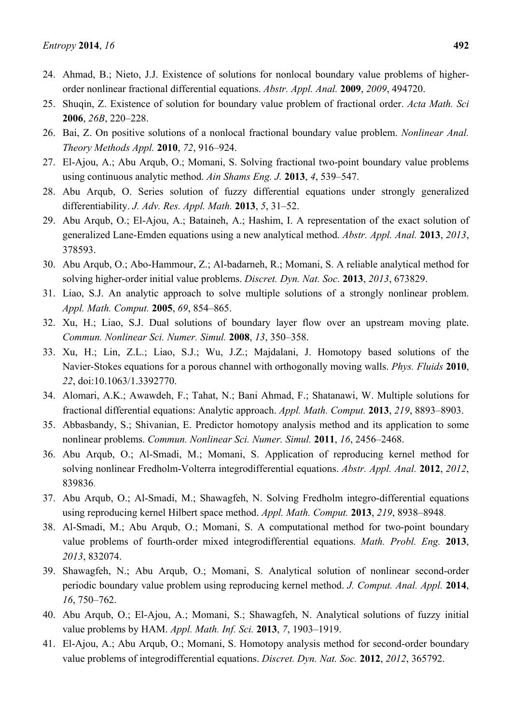- 24. Ahmad, B.; Nieto, J.J. Existence of solutions for nonlocal boundary value problems of higherorder nonlinear fractional differential equations. *Abstr. Appl. Anal.* **2009**, *2009*, 494720.
- 25. Shuqin, Z. Existence of solution for boundary value problem of fractional order. *Acta Math. Sci* **2006**, *26B*, 220–228.
- 26. Bai, Z. On positive solutions of a nonlocal fractional boundary value problem. *Nonlinear Anal. Theory Methods Appl.* **2010**, *72*, 916–924.
- 27. El-Ajou, A.; Abu Arqub, O.; Momani, S. Solving fractional two-point boundary value problems using continuous analytic method. *Ain Shams Eng. J.* **2013**, *4*, 539–547.
- 28. Abu Arqub, O. Series solution of fuzzy differential equations under strongly generalized differentiability. *J. Adv. Res. Appl. Math.* **2013**, *5*, 31–52.
- 29. Abu Arqub, O.; El-Ajou, A.; Bataineh, A.; Hashim, I. A representation of the exact solution of generalized Lane-Emden equations using a new analytical method. *Abstr. Appl. Anal.* **2013**, *2013*, 378593.
- 30. Abu Arqub, O.; Abo-Hammour, Z.; Al-badarneh, R.; Momani, S. A reliable analytical method for solving higher-order initial value problems. *Discret. Dyn. Nat. Soc.* **2013**, *2013*, 673829.
- 31. Liao, S.J. An analytic approach to solve multiple solutions of a strongly nonlinear problem. *Appl. Math. Comput.* **2005**, *69*, 854–865.
- 32. Xu, H.; Liao, S.J. Dual solutions of boundary layer flow over an upstream moving plate. *Commun. Nonlinear Sci. Numer. Simul.* **2008**, *13*, 350–358.
- 33. Xu, H.; Lin, Z.L.; Liao, S.J.; Wu, J.Z.; Majdalani, J. Homotopy based solutions of the Navier-Stokes equations for a porous channel with orthogonally moving walls. *Phys. Fluids* **2010**, *22*, doi:10.1063/1.3392770.
- 34. Alomari, A.K.; Awawdeh, F.; Tahat, N.; Bani Ahmad, F.; Shatanawi, W. Multiple solutions for fractional differential equations: Analytic approach. *Appl. Math. Comput.* **2013**, *219*, 8893–8903.
- 35. Abbasbandy, S.; Shivanian, E. Predictor homotopy analysis method and its application to some nonlinear problems. *Commun. Nonlinear Sci. Numer. Simul.* **2011**, *16*, 2456–2468.
- 36. Abu Arqub, O.; Al-Smadi, M.; Momani, S. Application of reproducing kernel method for solving nonlinear Fredholm-Volterra integrodifferential equations. *Abstr. Appl. Anal.* **2012**, *2012*, 839836.
- 37. Abu Arqub, O.; Al-Smadi, M.; Shawagfeh, N. Solving Fredholm integro-differential equations using reproducing kernel Hilbert space method. *Appl. Math. Comput.* **2013**, *219*, 8938–8948.
- 38. Al-Smadi, M.; Abu Arqub, O.; Momani, S. A computational method for two-point boundary value problems of fourth-order mixed integrodifferential equations. *Math. Probl. Eng.* **2013**, *2013*, 832074.
- 39. Shawagfeh, N.; Abu Arqub, O.; Momani, S. Analytical solution of nonlinear second-order periodic boundary value problem using reproducing kernel method. *J. Comput. Anal. Appl.* **2014**, *16*, 750–762.
- 40. Abu Arqub, O.; El-Ajou, A.; Momani, S.; Shawagfeh, N. Analytical solutions of fuzzy initial value problems by HAM. *Appl. Math. Inf. Sci.* **2013**, *7*, 1903–1919.
- 41. El-Ajou, A.; Abu Arqub, O.; Momani, S. Homotopy analysis method for second-order boundary value problems of integrodifferential equations. *Discret. Dyn. Nat. Soc.* **2012**, *2012*, 365792.